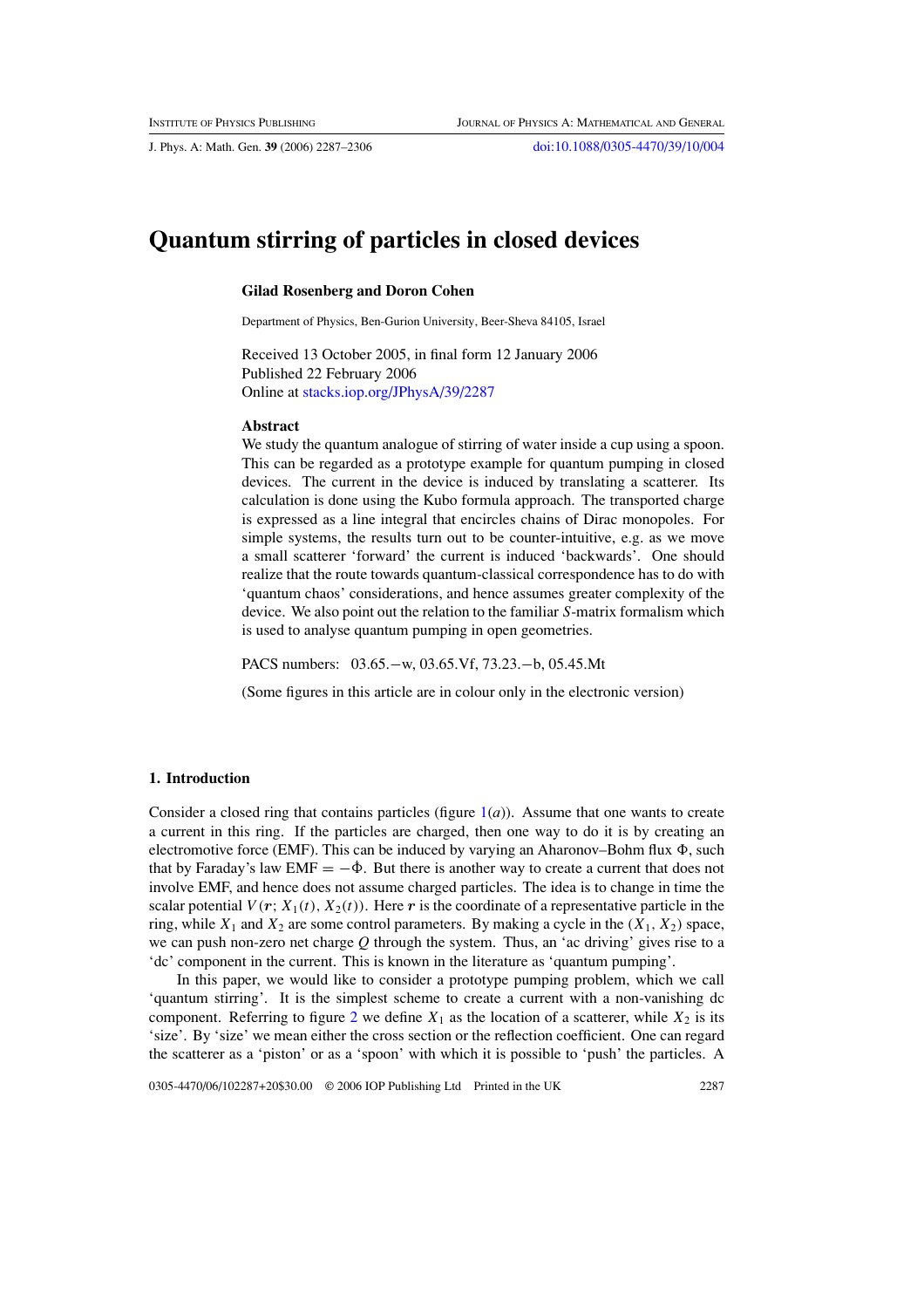J. Phys. A: Math. Gen. **39** (2006) 2287–2306 [doi:10.1088/0305-4470/39/10/004](http://dx.doi.org/10.1088/0305-4470/39/10/004)

# **Quantum stirring of particles in closed devices**

#### **Gilad Rosenberg and Doron Cohen**

Department of Physics, Ben-Gurion University, Beer-Sheva 84105, Israel

Received 13 October 2005, in final form 12 January 2006 Published 22 February 2006 Online at [stacks.iop.org/JPhysA/39/2287](http://stacks.iop.org/JPhysA/39/2287)

#### **Abstract**

We study the quantum analogue of stirring of water inside a cup using a spoon. This can be regarded as a prototype example for quantum pumping in closed devices. The current in the device is induced by translating a scatterer. Its calculation is done using the Kubo formula approach. The transported charge is expressed as a line integral that encircles chains of Dirac monopoles. For simple systems, the results turn out to be counter-intuitive, e.g. as we move a small scatterer 'forward' the current is induced 'backwards'. One should realize that the route towards quantum-classical correspondence has to do with 'quantum chaos' considerations, and hence assumes greater complexity of the device. We also point out the relation to the familiar *S*-matrix formalism which is used to analyse quantum pumping in open geometries.

PACS numbers: 03.65.−w, 03.65.Vf, 73.23.−b, 05.45.Mt

(Some figures in this article are in colour only in the electronic version)

# **1. Introduction**

Consider a closed ring that contains particles (figure  $1(a)$  $1(a)$ ). Assume that one wants to create a current in this ring. If the particles are charged, then one way to do it is by creating an electromotive force (EMF). This can be induced by varying an Aharonov–Bohm flux  $\Phi$ , such that by Faraday's law EMF  $= -\dot{\Phi}$ . But there is another way to create a current that does not involve EMF, and hence does not assume charged particles. The idea is to change in time the scalar potential  $V(r; X_1(t), X_2(t))$ . Here *r* is the coordinate of a representative particle in the ring, while  $X_1$  and  $X_2$  are some control parameters. By making a cycle in the  $(X_1, X_2)$  space, we can push non-zero net charge *Q* through the system. Thus, an 'ac driving' gives rise to a 'dc' component in the current. This is known in the literature as 'quantum pumping'.

In this paper, we would like to consider a prototype pumping problem, which we call 'quantum stirring'. It is the simplest scheme to create a current with a non-vanishing dc component. Referring to figure [2](#page-1-0) we define  $X_1$  as the location of a scatterer, while  $X_2$  is its 'size'. By 'size' we mean either the cross section or the reflection coefficient. One can regard the scatterer as a 'piston' or as a 'spoon' with which it is possible to 'push' the particles. A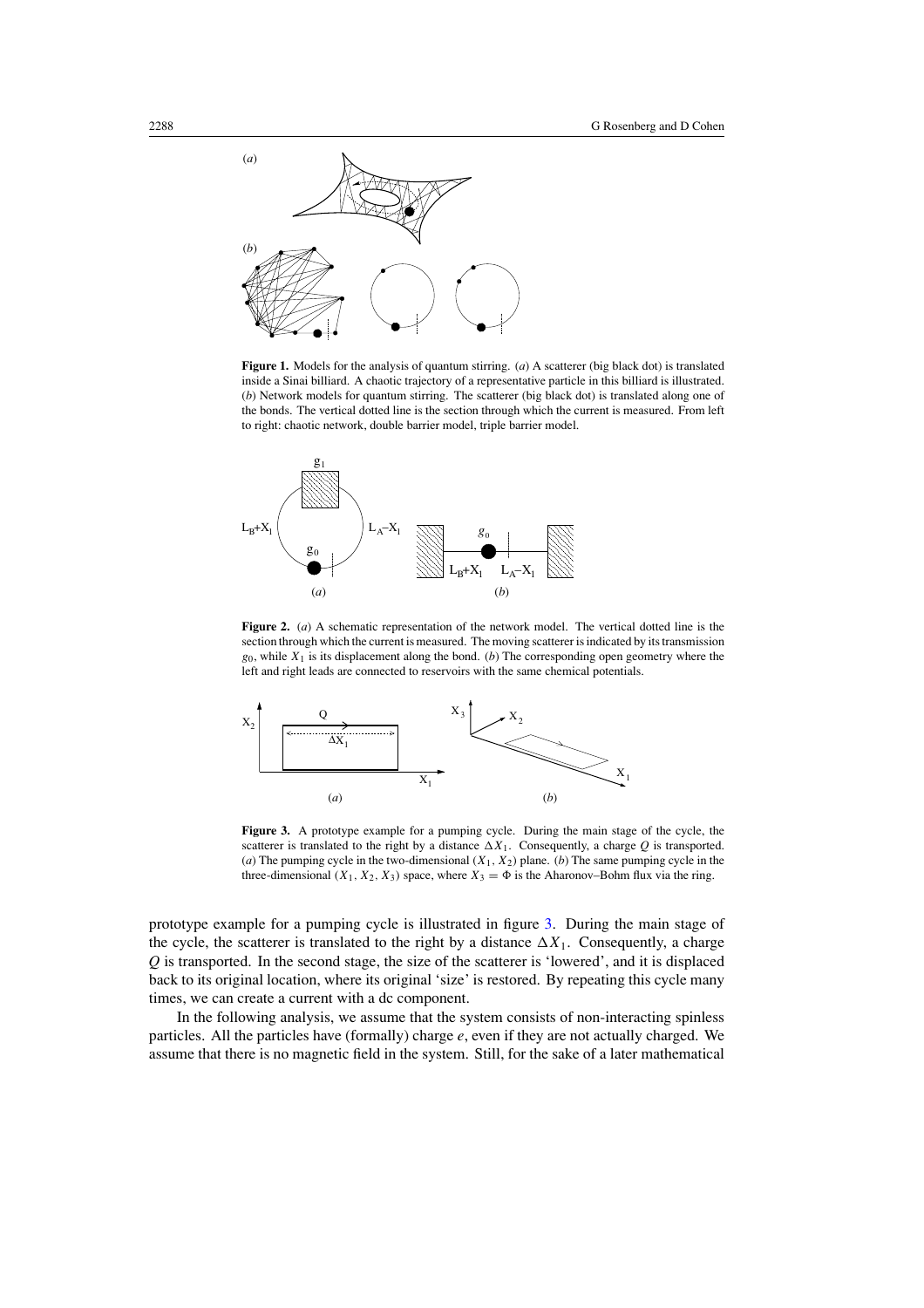<span id="page-1-0"></span>

**Figure 1.** Models for the analysis of quantum stirring. (*a*) A scatterer (big black dot) is translated inside a Sinai billiard. A chaotic trajectory of a representative particle in this billiard is illustrated. (*b*) Network models for quantum stirring. The scatterer (big black dot) is translated along one of the bonds. The vertical dotted line is the section through which the current is measured. From left to right: chaotic network, double barrier model, triple barrier model.



**Figure 2.** (*a*) A schematic representation of the network model. The vertical dotted line is the section through which the current is measured. The moving scatterer is indicated by its transmission  $g_0$ , while  $X_1$  is its displacement along the bond. (*b*) The corresponding open geometry where the left and right leads are connected to reservoirs with the same chemical potentials.



**Figure 3.** A prototype example for a pumping cycle. During the main stage of the cycle, the scatterer is translated to the right by a distance  $\Delta X_1$ . Consequently, a charge Q is transported. (*a*) The pumping cycle in the two-dimensional  $(X_1, X_2)$  plane. (*b*) The same pumping cycle in the three-dimensional  $(X_1, X_2, X_3)$  space, where  $X_3 = \Phi$  is the Aharonov–Bohm flux via the ring.

prototype example for a pumping cycle is illustrated in figure 3. During the main stage of the cycle, the scatterer is translated to the right by a distance  $\Delta X_1$ . Consequently, a charge *Q* is transported. In the second stage, the size of the scatterer is 'lowered', and it is displaced back to its original location, where its original 'size' is restored. By repeating this cycle many times, we can create a current with a dc component.

In the following analysis, we assume that the system consists of non-interacting spinless particles. All the particles have (formally) charge *e*, even if they are not actually charged. We assume that there is no magnetic field in the system. Still, for the sake of a later mathematical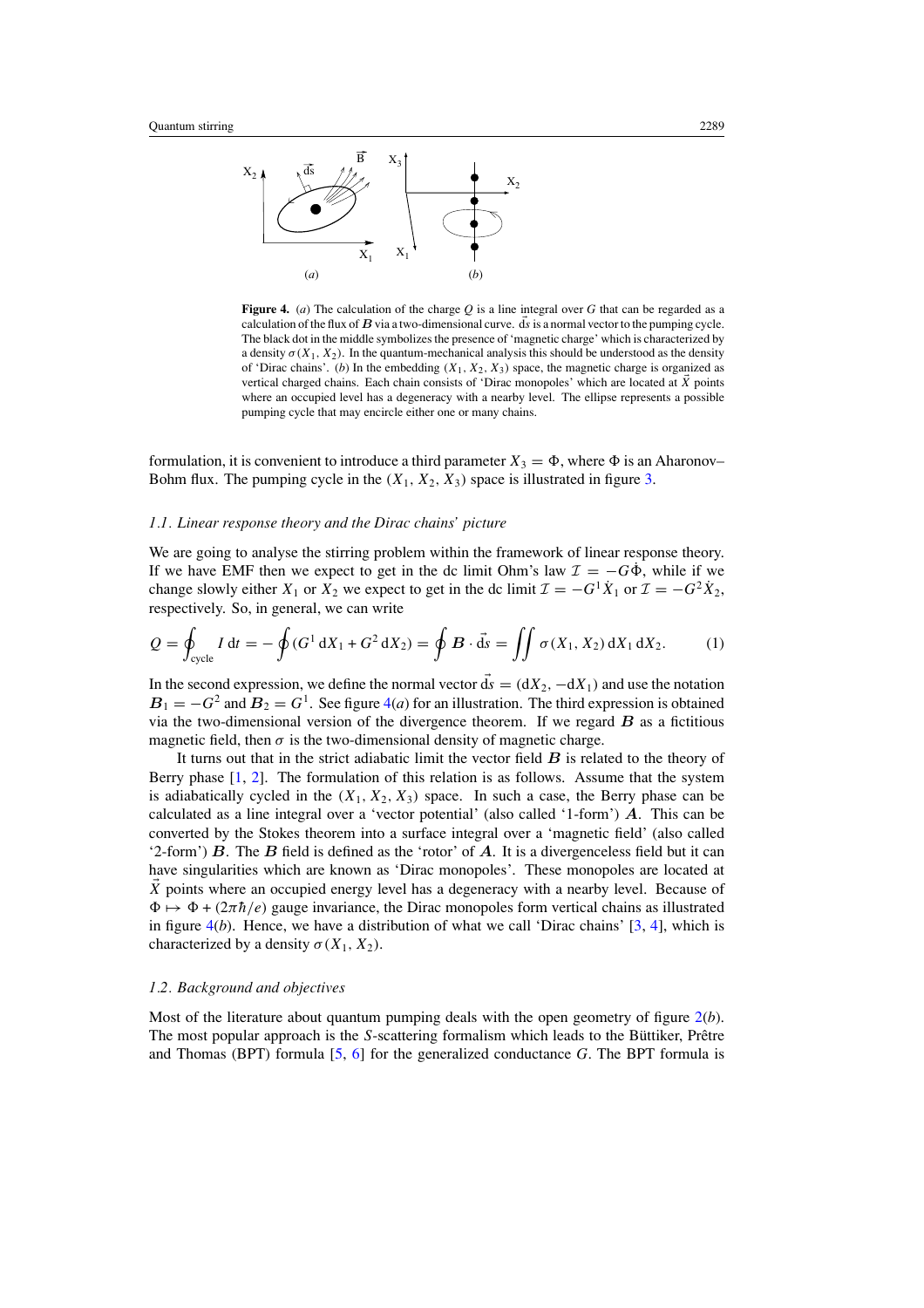<span id="page-2-0"></span>

**Figure 4.** (*a*) The calculation of the charge  $Q$  is a line integral over  $G$  that can be regarded as a calculation of the flux of *B* via a two-dimensional curve. d*s* is a normal vector to the pumping cycle. The black dot in the middle symbolizes the presence of 'magnetic charge' which is characterized by a density  $\sigma(X_1, X_2)$ . In the quantum-mechanical analysis this should be understood as the density of 'Dirac chains'. (*b*) In the embedding  $(X_1, X_2, X_3)$  space, the magnetic charge is organized as vertical charged chains. Each chain consists of 'Dirac monopoles' which are located at  $\vec{X}$  points where an occupied level has a degeneracy with a nearby level. The ellipse represents a possible pumping cycle that may encircle either one or many chains.

formulation, it is convenient to introduce a third parameter  $X_3 = \Phi$ , where  $\Phi$  is an Aharonov– Bohm flux. The pumping cycle in the  $(X_1, X_2, X_3)$  space is illustrated in figure [3.](#page-1-0)

# *1.1. Linear response theory and the Dirac chains' picture*

We are going to analyse the stirring problem within the framework of linear response theory. If we have EMF then we expect to get in the dc limit Ohm's law  $\mathcal{I} = -G\dot{\Phi}$ , while if we change slowly either  $X_1$  or  $X_2$  we expect to get in the dc limit  $\mathcal{I} = -G^1 \dot{X}_1$  or  $\mathcal{I} = -G^2 \dot{X}_2$ , respectively. So, in general, we can write

$$
Q = \oint_{\text{cycle}} I \, \text{d}t = -\oint (G^1 \, \text{d}X_1 + G^2 \, \text{d}X_2) = \oint B \cdot \vec{\text{d}}s = \iint \sigma(X_1, X_2) \, \text{d}X_1 \, \text{d}X_2. \tag{1}
$$

In the second expression, we define the normal vector  $\vec{ds} = (dX_2, -dX_1)$  and use the notation  $B_1 = -G^2$  and  $B_2 = G^1$ . See figure 4(*a*) for an illustration. The third expression is obtained via the two-dimensional version of the divergence theorem. If we regard  $B$  as a fictitious magnetic field, then  $\sigma$  is the two-dimensional density of magnetic charge.

It turns out that in the strict adiabatic limit the vector field *B* is related to the theory of Berry phase [\[1](#page-18-0), [2\]](#page-18-0). The formulation of this relation is as follows. Assume that the system is adiabatically cycled in the  $(X_1, X_2, X_3)$  space. In such a case, the Berry phase can be calculated as a line integral over a 'vector potential' (also called '1-form') *A*. This can be converted by the Stokes theorem into a surface integral over a 'magnetic field' (also called '2-form') *B*. The *B* field is defined as the 'rotor' of *A*. It is a divergenceless field but it can have singularities which are known as 'Dirac monopoles'. These monopoles are located at *X* points where an occupied energy level has a degeneracy with a nearby level. Because of  $\Phi \mapsto \Phi + (2\pi \hbar/e)$  gauge invariance, the Dirac monopoles form vertical chains as illustrated in figure  $4(b)$ . Hence, we have a distribution of what we call 'Dirac chains'  $[3, 4]$  $[3, 4]$  $[3, 4]$ , which is characterized by a density  $\sigma(X_1, X_2)$ .

#### *1.2. Background and objectives*

Most of the literature about quantum pumping deals with the open geometry of figure [2\(](#page-1-0)*b*). The most popular approach is the *S*-scattering formalism which leads to the Büttiker, Prêtre and Thomas (BPT) formula [\[5,](#page-18-0) [6\]](#page-18-0) for the generalized conductance *G*. The BPT formula is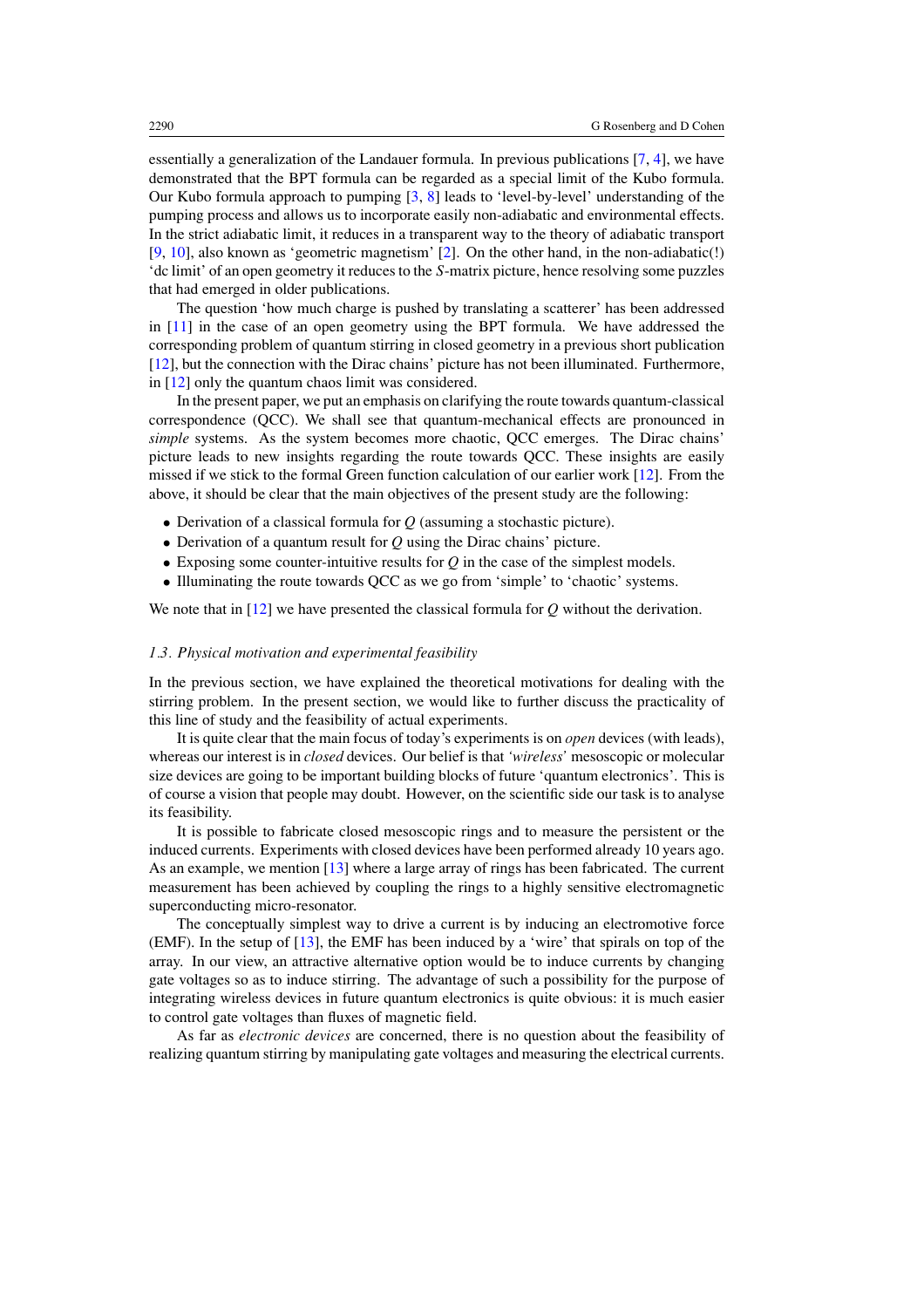essentially a generalization of the Landauer formula. In previous publications [\[7,](#page-18-0) [4\]](#page-18-0), we have demonstrated that the BPT formula can be regarded as a special limit of the Kubo formula. Our Kubo formula approach to pumping [\[3,](#page-18-0) [8](#page-18-0)] leads to 'level-by-level' understanding of the pumping process and allows us to incorporate easily non-adiabatic and environmental effects. In the strict adiabatic limit, it reduces in a transparent way to the theory of adiabatic transport [\[9](#page-18-0), [10](#page-18-0)], also known as 'geometric magnetism' [\[2](#page-18-0)]. On the other hand, in the non-adiabatic(!) 'dc limit' of an open geometry it reduces to the *S*-matrix picture, hence resolving some puzzles that had emerged in older publications.

The question 'how much charge is pushed by translating a scatterer' has been addressed in [\[11\]](#page-18-0) in the case of an open geometry using the BPT formula. We have addressed the corresponding problem of quantum stirring in closed geometry in a previous short publication [\[12](#page-19-0)], but the connection with the Dirac chains' picture has not been illuminated. Furthermore, in [\[12](#page-19-0)] only the quantum chaos limit was considered.

In the present paper, we put an emphasis on clarifying the route towards quantum-classical correspondence (QCC). We shall see that quantum-mechanical effects are pronounced in *simple* systems. As the system becomes more chaotic, QCC emerges. The Dirac chains' picture leads to new insights regarding the route towards QCC. These insights are easily missed if we stick to the formal Green function calculation of our earlier work [\[12](#page-19-0)]. From the above, it should be clear that the main objectives of the present study are the following:

- Derivation of a classical formula for *Q* (assuming a stochastic picture).
- Derivation of a quantum result for *Q* using the Dirac chains' picture.
- Exposing some counter-intuitive results for *Q* in the case of the simplest models.
- Illuminating the route towards QCC as we go from 'simple' to 'chaotic' systems.

We note that in [\[12](#page-19-0)] we have presented the classical formula for *Q* without the derivation.

## *1.3. Physical motivation and experimental feasibility*

In the previous section, we have explained the theoretical motivations for dealing with the stirring problem. In the present section, we would like to further discuss the practicality of this line of study and the feasibility of actual experiments.

It is quite clear that the main focus of today's experiments is on *open* devices (with leads), whereas our interest is in *closed* devices. Our belief is that *'wireless'* mesoscopic or molecular size devices are going to be important building blocks of future 'quantum electronics'. This is of course a vision that people may doubt. However, on the scientific side our task is to analyse its feasibility.

It is possible to fabricate closed mesoscopic rings and to measure the persistent or the induced currents. Experiments with closed devices have been performed already 10 years ago. As an example, we mention [\[13\]](#page-19-0) where a large array of rings has been fabricated. The current measurement has been achieved by coupling the rings to a highly sensitive electromagnetic superconducting micro-resonator.

The conceptually simplest way to drive a current is by inducing an electromotive force (EMF). In the setup of [\[13\]](#page-19-0), the EMF has been induced by a 'wire' that spirals on top of the array. In our view, an attractive alternative option would be to induce currents by changing gate voltages so as to induce stirring. The advantage of such a possibility for the purpose of integrating wireless devices in future quantum electronics is quite obvious: it is much easier to control gate voltages than fluxes of magnetic field.

As far as *electronic devices* are concerned, there is no question about the feasibility of realizing quantum stirring by manipulating gate voltages and measuring the electrical currents.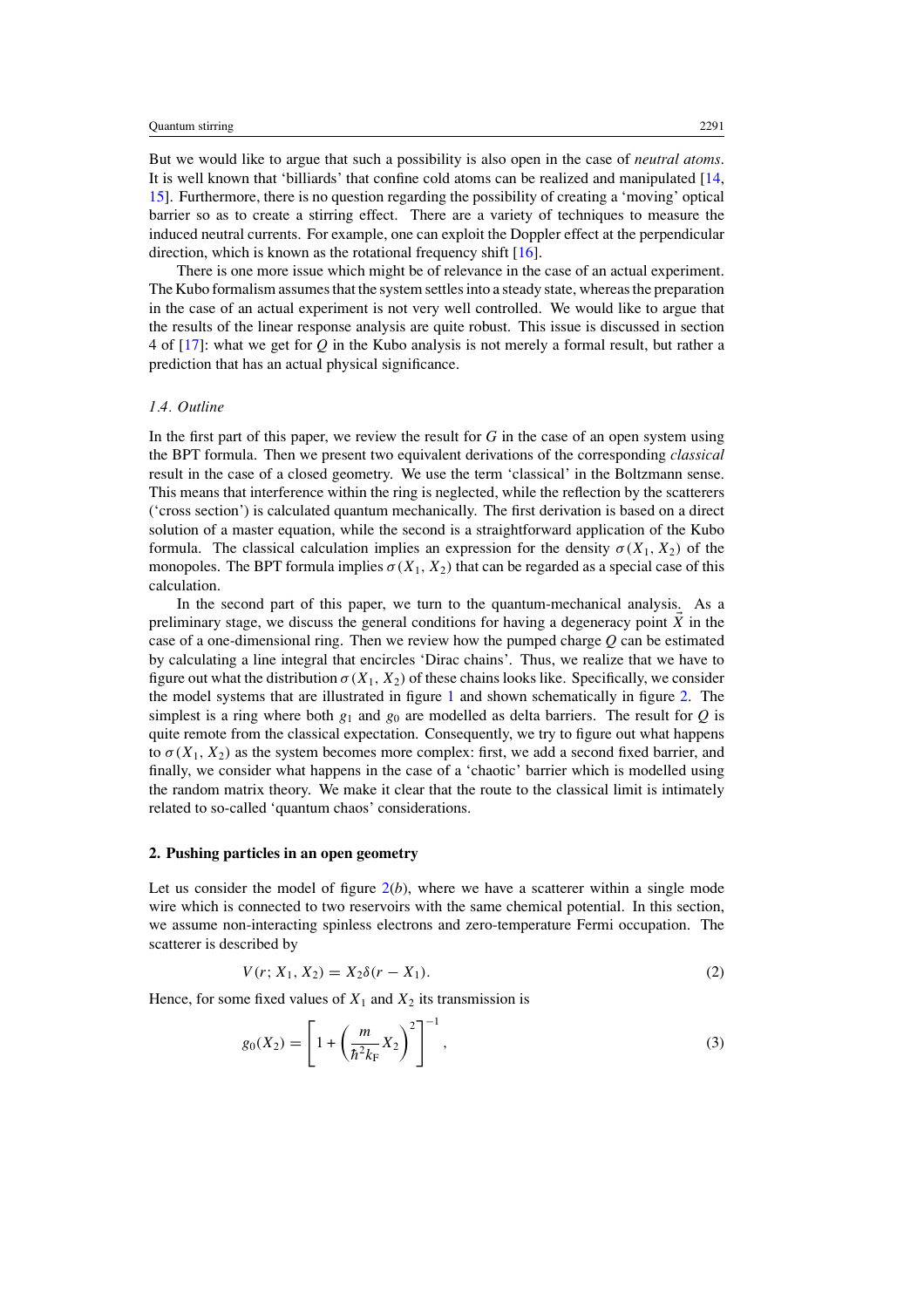But we would like to argue that such a possibility is also open in the case of *neutral atoms*. It is well known that 'billiards' that confine cold atoms can be realized and manipulated [\[14](#page-19-0), [15\]](#page-19-0). Furthermore, there is no question regarding the possibility of creating a 'moving' optical barrier so as to create a stirring effect. There are a variety of techniques to measure the induced neutral currents. For example, one can exploit the Doppler effect at the perpendicular direction, which is known as the rotational frequency shift [\[16](#page-19-0)].

There is one more issue which might be of relevance in the case of an actual experiment. The Kubo formalism assumes that the system settles into a steady state, whereas the preparation in the case of an actual experiment is not very well controlled. We would like to argue that the results of the linear response analysis are quite robust. This issue is discussed in section 4 of [\[17](#page-19-0)]: what we get for *Q* in the Kubo analysis is not merely a formal result, but rather a prediction that has an actual physical significance.

#### *1.4. Outline*

In the first part of this paper, we review the result for *G* in the case of an open system using the BPT formula. Then we present two equivalent derivations of the corresponding *classical* result in the case of a closed geometry. We use the term 'classical' in the Boltzmann sense. This means that interference within the ring is neglected, while the reflection by the scatterers ('cross section') is calculated quantum mechanically. The first derivation is based on a direct solution of a master equation, while the second is a straightforward application of the Kubo formula. The classical calculation implies an expression for the density  $\sigma(X_1, X_2)$  of the monopoles. The BPT formula implies  $\sigma(X_1, X_2)$  that can be regarded as a special case of this calculation.

In the second part of this paper, we turn to the quantum-mechanical analysis. As a preliminary stage, we discuss the general conditions for having a degeneracy point *X* in the case of a one-dimensional ring. Then we review how the pumped charge *Q* can be estimated by calculating a line integral that encircles 'Dirac chains'. Thus, we realize that we have to figure out what the distribution  $\sigma(X_1, X_2)$  of these chains looks like. Specifically, we consider the model systems that are illustrated in figure [1](#page-1-0) and shown schematically in figure [2.](#page-1-0) The simplest is a ring where both  $g_1$  and  $g_0$  are modelled as delta barriers. The result for  $Q$  is quite remote from the classical expectation. Consequently, we try to figure out what happens to  $\sigma(X_1, X_2)$  as the system becomes more complex: first, we add a second fixed barrier, and finally, we consider what happens in the case of a 'chaotic' barrier which is modelled using the random matrix theory. We make it clear that the route to the classical limit is intimately related to so-called 'quantum chaos' considerations.

### **2. Pushing particles in an open geometry**

Let us consider the model of figure  $2(b)$  $2(b)$ , where we have a scatterer within a single mode wire which is connected to two reservoirs with the same chemical potential. In this section, we assume non-interacting spinless electrons and zero-temperature Fermi occupation. The scatterer is described by

$$
V(r; X_1, X_2) = X_2 \delta(r - X_1).
$$
 (2)

Hence, for some fixed values of  $X_1$  and  $X_2$  its transmission is

$$
g_0(X_2) = \left[1 + \left(\frac{m}{\hbar^2 k_F} X_2\right)^2\right]^{-1},\tag{3}
$$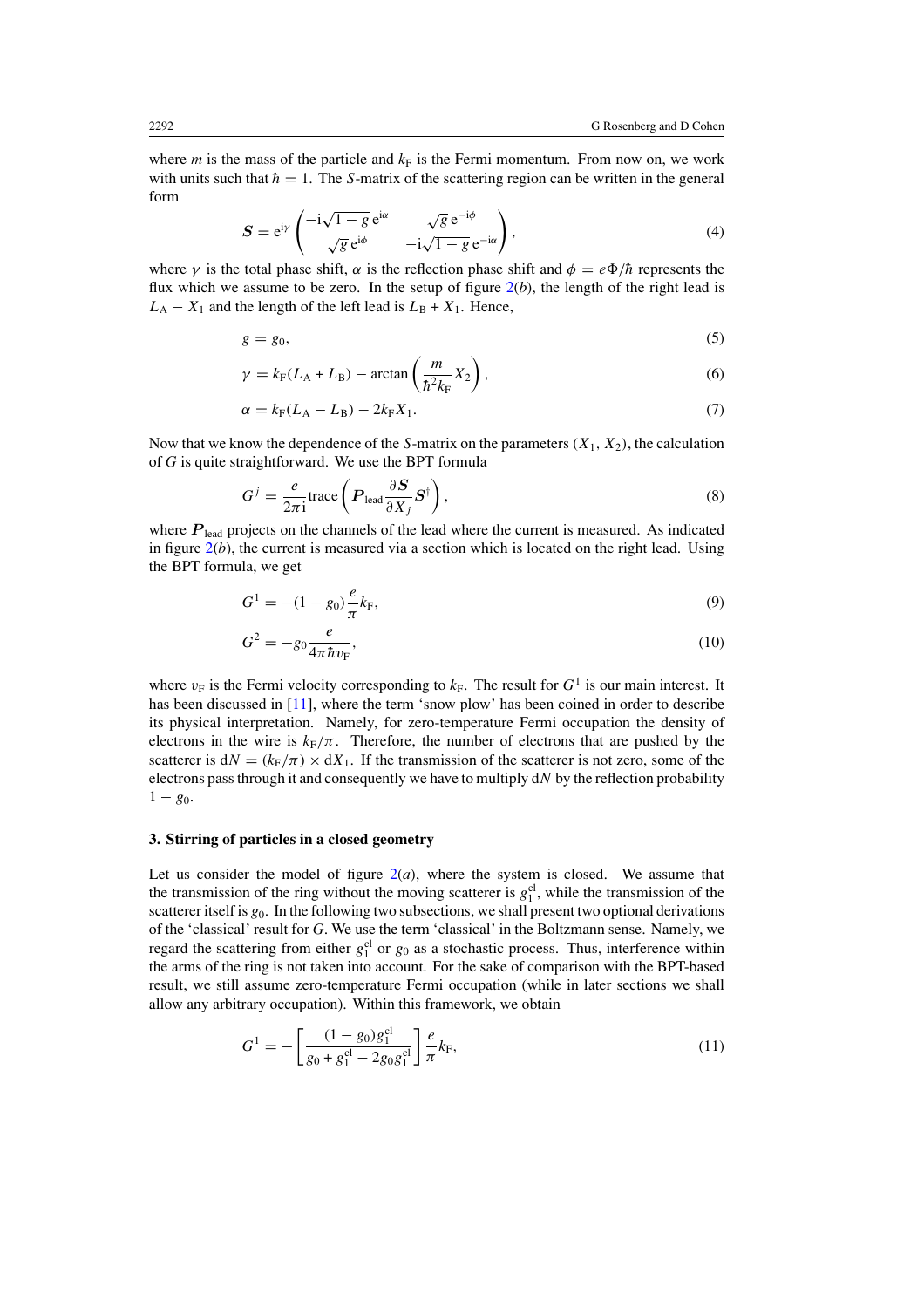where  $m$  is the mass of the particle and  $k_F$  is the Fermi momentum. From now on, we work with units such that  $\hbar = 1$ . The *S*-matrix of the scattering region can be written in the general form

$$
S = e^{i\gamma} \begin{pmatrix} -i\sqrt{1-g} e^{i\alpha} & \sqrt{g} e^{-i\phi} \\ \sqrt{g} e^{i\phi} & -i\sqrt{1-g} e^{-i\alpha} \end{pmatrix},
$$
(4)

where *γ* is the total phase shift,  $\alpha$  is the reflection phase shift and  $\phi = e\Phi/\hbar$  represents the flux which we assume to be zero. In the setup of figure [2\(](#page-1-0)*b*), the length of the right lead is  $L_A - X_1$  and the length of the left lead is  $L_B + X_1$ . Hence,

$$
g = g_0,\tag{5}
$$

$$
\gamma = k_{\rm F}(L_{\rm A} + L_{\rm B}) - \arctan\left(\frac{m}{\hbar^2 k_{\rm F}} X_2\right),\tag{6}
$$

$$
\alpha = k_{\rm F}(L_{\rm A} - L_{\rm B}) - 2k_{\rm F}X_1. \tag{7}
$$

Now that we know the dependence of the *S*-matrix on the parameters  $(X_1, X_2)$ , the calculation of *G* is quite straightforward. We use the BPT formula

$$
G^{j} = \frac{e}{2\pi i} \text{trace}\left(P_{\text{lead}}\frac{\partial S}{\partial X_{j}}S^{\dagger}\right),\tag{8}
$$

where  $P_{\text{lead}}$  projects on the channels of the lead where the current is measured. As indicated in figure [2\(](#page-1-0)*b*), the current is measured via a section which is located on the right lead. Using the BPT formula, we get

$$
G^{1} = -(1 - g_{0}) \frac{e}{\pi} k_{F}, \qquad (9)
$$

$$
G^2 = -g_0 \frac{e}{4\pi\hbar v_\text{F}},\tag{10}
$$

where  $v_F$  is the Fermi velocity corresponding to  $k_F$ . The result for  $G<sup>1</sup>$  is our main interest. It has been discussed in [\[11](#page-18-0)], where the term 'snow plow' has been coined in order to describe its physical interpretation. Namely, for zero-temperature Fermi occupation the density of electrons in the wire is  $k_F/\pi$ . Therefore, the number of electrons that are pushed by the scatterer is  $dN = (k_F/\pi) \times dX_1$ . If the transmission of the scatterer is not zero, some of the electrons pass through it and consequently we have to multiply d*N* by the reflection probability  $1 - g_0$ .

# **3. Stirring of particles in a closed geometry**

Let us consider the model of figure  $2(a)$  $2(a)$ , where the system is closed. We assume that the transmission of the ring without the moving scatterer is  $g_1^{\text{cl}}$ , while the transmission of the scatterer itself is *g*0. In the following two subsections, we shall present two optional derivations of the 'classical' result for *G*. We use the term 'classical' in the Boltzmann sense. Namely, we regard the scattering from either  $g_1^{\text{cl}}$  or  $g_0$  as a stochastic process. Thus, interference within the arms of the ring is not taken into account. For the sake of comparison with the BPT-based result, we still assume zero-temperature Fermi occupation (while in later sections we shall allow any arbitrary occupation). Within this framework, we obtain

$$
G^{1} = -\left[\frac{(1 - g_{0})g_{1}^{cl}}{g_{0} + g_{1}^{cl} - 2g_{0}g_{1}^{cl}}\right] \frac{e}{\pi} k_{F},\tag{11}
$$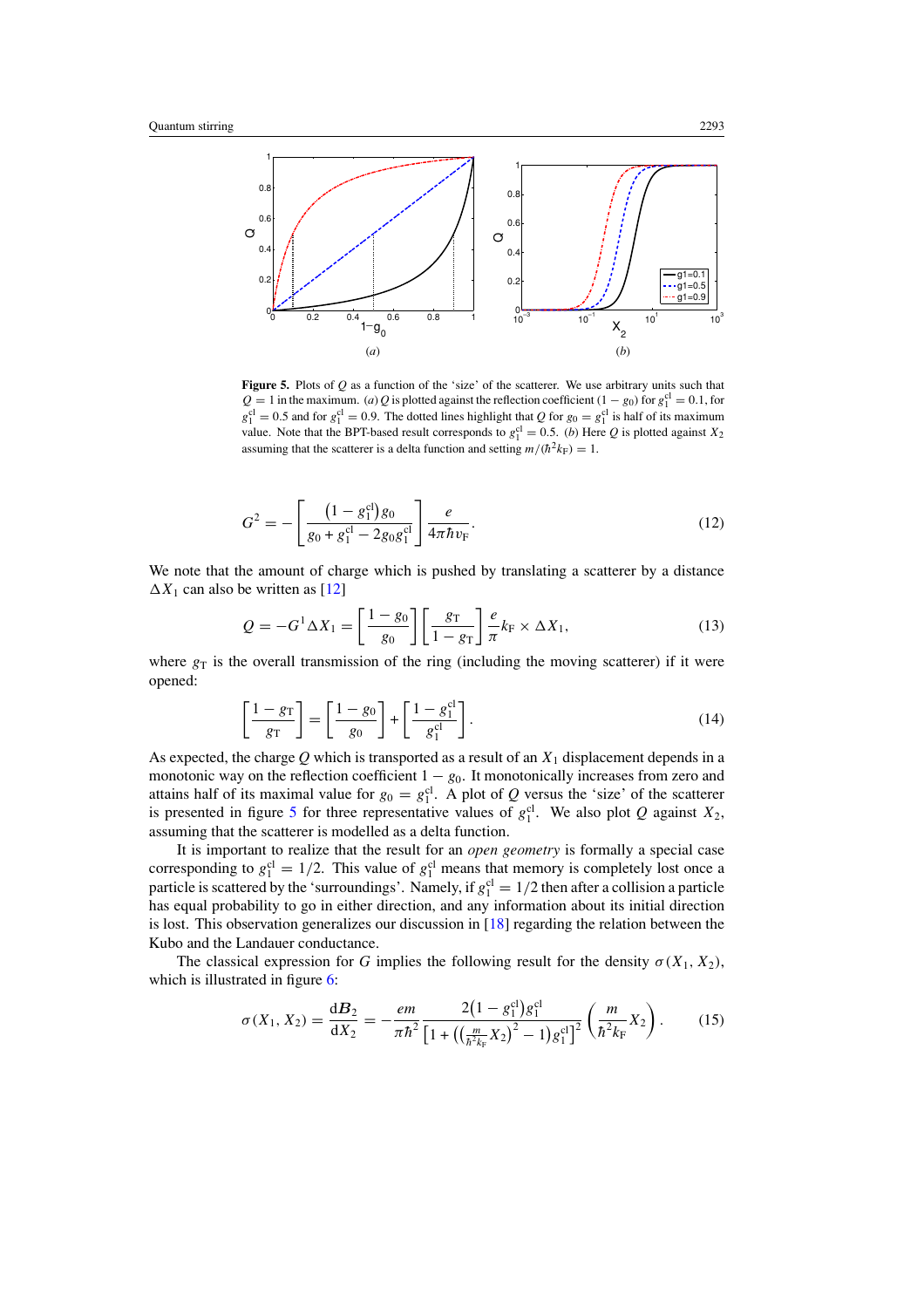<span id="page-6-0"></span>

**Figure 5.** Plots of *Q* as a function of the 'size' of the scatterer. We use arbitrary units such that  $Q = 1$  in the maximum. (*a*) *Q* is plotted against the reflection coefficient  $(1 - g_0)$  for  $g_1^{\text{cl}} = 0.1$ , for  $g_1^{\text{cl}} = 0.5$  and for  $g_1^{\text{cl}} = 0.9$ . The dotted lines highlight that *Q* for  $g_0 = g_1^{\text{cl}}$  is half of its maximum value. Note that the BPT-based result corresponds to  $g_1^{\text{cl}} = 0.5$ . (*b*) Here *Q* is plotted against  $X_2$ assuming that the scatterer is a delta function and setting  $m/(\hbar^2 k_F) = 1$ .

$$
G^{2} = -\left[\frac{(1 - g_{1}^{\text{cl}})g_{0}}{g_{0} + g_{1}^{\text{cl}} - 2g_{0}g_{1}^{\text{cl}}}\right] \frac{e}{4\pi\hbar v_{\text{F}}}.
$$
\n(12)

We note that the amount of charge which is pushed by translating a scatterer by a distance  $\Delta X_1$  can also be written as [\[12\]](#page-19-0)

$$
Q = -G^1 \Delta X_1 = \left[\frac{1 - g_0}{g_0}\right] \left[\frac{g_T}{1 - g_T}\right] \frac{e}{\pi} k_F \times \Delta X_1,\tag{13}
$$

where  $g_T$  is the overall transmission of the ring (including the moving scatterer) if it were opened:

$$
\left[\frac{1 - g_{\rm T}}{g_{\rm T}}\right] = \left[\frac{1 - g_0}{g_0}\right] + \left[\frac{1 - g_1^{\rm cl}}{g_1^{\rm cl}}\right].\tag{14}
$$

As expected, the charge  $Q$  which is transported as a result of an  $X_1$  displacement depends in a monotonic way on the reflection coefficient  $1 - g_0$ . It monotonically increases from zero and attains half of its maximal value for  $g_0 = g_1^{\text{cl}}$ . A plot of *Q* versus the 'size' of the scatterer is presented in figure 5 for three representative values of  $g_1^{\text{cl}}$ . We also plot *Q* against  $X_2$ , assuming that the scatterer is modelled as a delta function.

It is important to realize that the result for an *open geometry* is formally a special case corresponding to  $g_1^{\text{cl}} = 1/2$ . This value of  $g_1^{\text{cl}}$  means that memory is completely lost once a particle is scattered by the 'surroundings'. Namely, if  $g_1^{\text{cl}} = 1/2$  then after a collision a particle has equal probability to go in either direction, and any information about its initial direction is lost. This observation generalizes our discussion in [\[18\]](#page-19-0) regarding the relation between the Kubo and the Landauer conductance.

The classical expression for *G* implies the following result for the density  $\sigma(X_1, X_2)$ , which is illustrated in figure [6:](#page-7-0)

$$
\sigma(X_1, X_2) = \frac{\mathrm{d}B_2}{\mathrm{d}X_2} = -\frac{em}{\pi\hbar^2} \frac{2\big(1 - g_1^{\mathrm{cl}}\big)g_1^{\mathrm{cl}}}{\big[1 + \big(\big(\frac{m}{\hbar^2 k_F} X_2\big)^2 - 1\big)g_1^{\mathrm{cl}}\big]^2} \left(\frac{m}{\hbar^2 k_F} X_2\right). \tag{15}
$$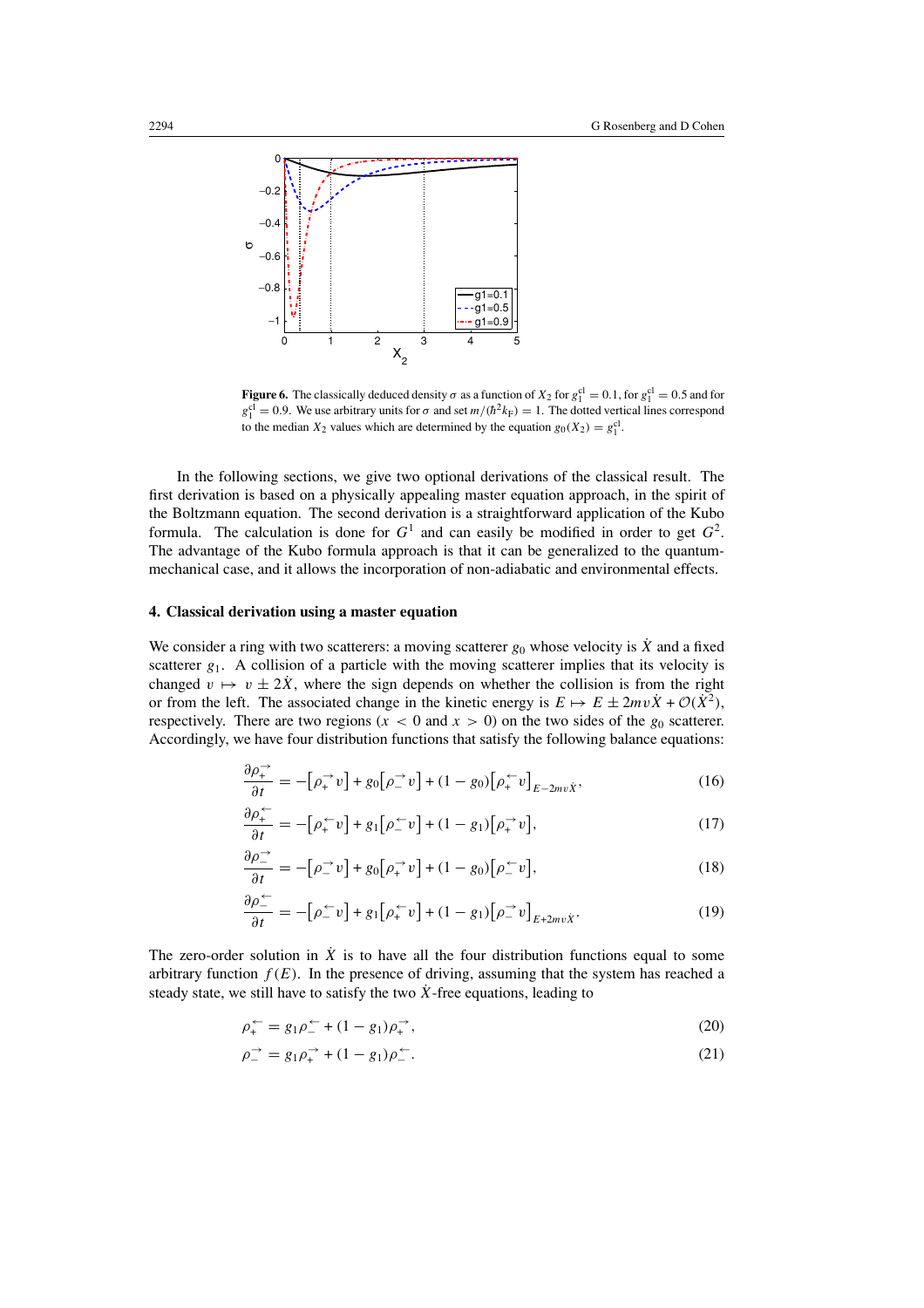<span id="page-7-0"></span>

**Figure 6.** The classically deduced density  $\sigma$  as a function of  $X_2$  for  $g_1^{\text{cl}} = 0.1$ , for  $g_1^{\text{cl}} = 0.5$  and for  $g_1^{\text{cl}} = 0.9$ . We use arbitrary units for *σ* and set  $m/(\hbar^2 k_F) = 1$ . The dotted vertical lines correspond to the median  $X_2$  values which are determined by the equation  $g_0(X_2) = g_1^{\text{cl}}$ .

In the following sections, we give two optional derivations of the classical result. The first derivation is based on a physically appealing master equation approach, in the spirit of the Boltzmann equation. The second derivation is a straightforward application of the Kubo formula. The calculation is done for  $G<sup>1</sup>$  and can easily be modified in order to get  $G<sup>2</sup>$ . The advantage of the Kubo formula approach is that it can be generalized to the quantummechanical case, and it allows the incorporation of non-adiabatic and environmental effects.

## **4. Classical derivation using a master equation**

We consider a ring with two scatterers: a moving scatterer  $g_0$  whose velocity is  $\dot{X}$  and a fixed scatterer  $g_1$ . A collision of a particle with the moving scatterer implies that its velocity is changed  $v \mapsto v \pm 2\dot{X}$ , where the sign depends on whether the collision is from the right or from the left. The associated change in the kinetic energy is  $E \mapsto E \pm 2mv\dot{X} + \mathcal{O}(\dot{X}^2)$ , respectively. There are two regions ( $x < 0$  and  $x > 0$ ) on the two sides of the  $g_0$  scatterer. Accordingly, we have four distribution functions that satisfy the following balance equations:

$$
\frac{\partial \rho_{+}^{\rightarrow}}{\partial t} = -[\rho_{+}^{\rightarrow} v] + g_0[\rho_{-}^{\rightarrow} v] + (1 - g_0)[\rho_{+}^{\leftarrow} v]_{E - 2mv\dot{X}},
$$
\n(16)

$$
\frac{\partial \rho_+^{\leftarrow}}{\partial t} = -[\rho_+^{\leftarrow} v] + g_1[\rho_-^{\leftarrow} v] + (1 - g_1)[\rho_+^{\rightarrow} v],\tag{17}
$$

$$
\frac{\partial \rho_{-}^{\rightarrow}}{\partial t} = -[\rho_{-}^{\rightarrow} v] + g_0[\rho_{+}^{\rightarrow} v] + (1 - g_0)[\rho_{-}^{\leftarrow} v],\tag{18}
$$

$$
\frac{\partial \rho_{-}^{\leftarrow}}{\partial t} = -[\rho_{-}^{\leftarrow} v] + g_1[\rho_{+}^{\leftarrow} v] + (1 - g_1)[\rho_{-}^{\rightarrow} v]_{E + 2mv\dot{x}}.
$$
\n(19)

The zero-order solution in  $\dot{X}$  is to have all the four distribution functions equal to some arbitrary function  $f(E)$ . In the presence of driving, assuming that the system has reached a steady state, we still have to satisfy the two  $\dot{X}$ -free equations, leading to

$$
\rho_{+}^{\leftarrow} = g_1 \rho_{-}^{\leftarrow} + (1 - g_1) \rho_{+}^{\rightarrow},\tag{20}
$$

$$
\rho_{-}^{\rightarrow} = g_1 \rho_{+}^{\rightarrow} + (1 - g_1) \rho_{-}^{\leftarrow}.
$$
 (21)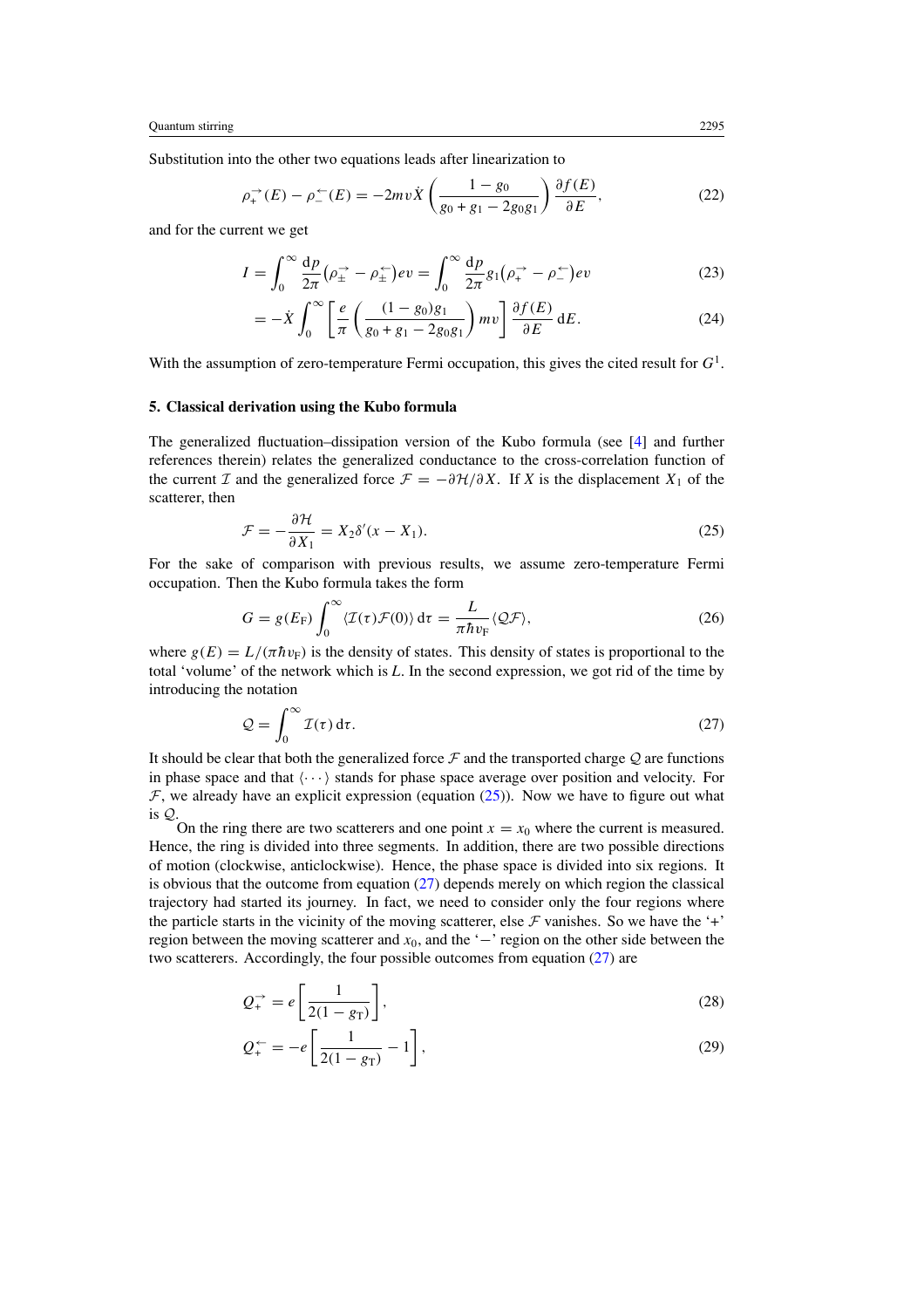<span id="page-8-0"></span>Substitution into the other two equations leads after linearization to

$$
\rho_{+}^{\rightarrow}(E) - \rho_{-}^{\leftarrow}(E) = -2mv\dot{X}\left(\frac{1-g_0}{g_0 + g_1 - 2g_0g_1}\right)\frac{\partial f(E)}{\partial E},\tag{22}
$$

and for the current we get

$$
I = \int_0^\infty \frac{dp}{2\pi} \left( \rho_{\pm}^- - \rho_{\pm}^+ \right) ev = \int_0^\infty \frac{dp}{2\pi} g_1 \left( \rho_{\pm}^- - \rho_{-}^+ \right) ev \tag{23}
$$

$$
= -\dot{X} \int_0^\infty \left[ \frac{e}{\pi} \left( \frac{(1 - g_0)g_1}{g_0 + g_1 - 2g_0 g_1} \right) m v \right] \frac{\partial f(E)}{\partial E} dE.
$$
 (24)

With the assumption of zero-temperature Fermi occupation, this gives the cited result for *G*1.

# **5. Classical derivation using the Kubo formula**

The generalized fluctuation–dissipation version of the Kubo formula (see [\[4](#page-18-0)] and further references therein) relates the generalized conductance to the cross-correlation function of the current *I* and the generalized force  $\mathcal{F} = -\partial \mathcal{H}/\partial X$ . If *X* is the displacement *X*<sub>1</sub> of the scatterer, then

$$
\mathcal{F} = -\frac{\partial \mathcal{H}}{\partial X_1} = X_2 \delta'(x - X_1). \tag{25}
$$

For the sake of comparison with previous results, we assume zero-temperature Fermi occupation. Then the Kubo formula takes the form

$$
G = g(E_{\rm F}) \int_0^\infty \langle \mathcal{I}(\tau) \mathcal{F}(0) \rangle \, \mathrm{d}\tau = \frac{L}{\pi \hbar v_{\rm F}} \langle \mathcal{Q} \mathcal{F} \rangle, \tag{26}
$$

where  $g(E) = L/(\pi \hbar v_F)$  is the density of states. This density of states is proportional to the total 'volume' of the network which is *L*. In the second expression, we got rid of the time by introducing the notation

$$
\mathcal{Q} = \int_0^\infty \mathcal{I}(\tau) \, \mathrm{d}\tau. \tag{27}
$$

It should be clear that both the generalized force  $\mathcal F$  and the transported charge  $\mathcal Q$  are functions in phase space and that  $\langle \cdots \rangle$  stands for phase space average over position and velocity. For  $\mathcal{F}$ , we already have an explicit expression (equation (25)). Now we have to figure out what is  $Q$ .<br>On the ring there are two scatterers and one point  $x = x_0$  where the current is measured.

Hence, the ring is divided into three segments. In addition, there are two possible directions of motion (clockwise, anticlockwise). Hence, the phase space is divided into six regions. It is obvious that the outcome from equation  $(27)$  depends merely on which region the classical trajectory had started its journey. In fact, we need to consider only the four regions where the particle starts in the vicinity of the moving scatterer, else  $\mathcal F$  vanishes. So we have the '+' region between the moving scatterer and *x*0, and the '−' region on the other side between the two scatterers. Accordingly, the four possible outcomes from equation  $(27)$  are

$$
Q_{+}^{\rightarrow} = e \left[ \frac{1}{2(1 - g_{\text{T}})} \right],\tag{28}
$$

$$
Q_{+}^{\leftarrow} = -e \left[ \frac{1}{2(1 - g_{\text{T}})} - 1 \right],
$$
\n(29)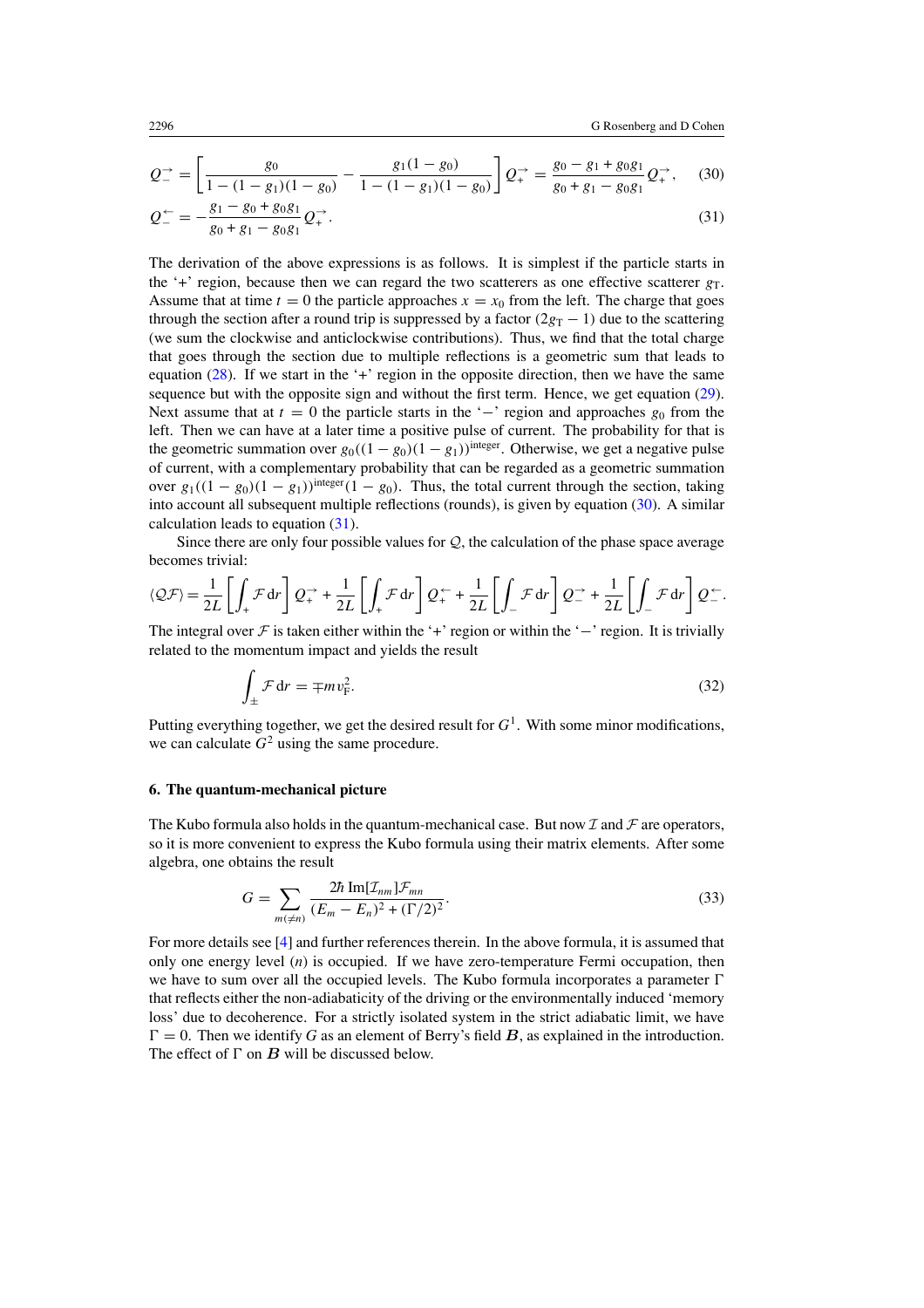<span id="page-9-0"></span>
$$
Q_{-}^{\rightarrow} = \left[\frac{g_0}{1 - (1 - g_1)(1 - g_0)} - \frac{g_1(1 - g_0)}{1 - (1 - g_1)(1 - g_0)}\right] Q_{+}^{\rightarrow} = \frac{g_0 - g_1 + g_0 g_1}{g_0 + g_1 - g_0 g_1} Q_{+}^{\rightarrow},\tag{30}
$$

$$
Q_{-}^{\leftarrow} = -\frac{g_1 - g_0 + g_0 g_1}{g_0 + g_1 - g_0 g_1} Q_{+}^{\rightarrow}.
$$
\n(31)

The derivation of the above expressions is as follows. It is simplest if the particle starts in the '+' region, because then we can regard the two scatterers as one effective scatterer  $g_T$ . Assume that at time  $t = 0$  the particle approaches  $x = x_0$  from the left. The charge that goes through the section after a round trip is suppressed by a factor  $(2g_T - 1)$  due to the scattering (we sum the clockwise and anticlockwise contributions). Thus, we find that the total charge that goes through the section due to multiple reflections is a geometric sum that leads to equation  $(28)$ . If we start in the '+' region in the opposite direction, then we have the same sequence but with the opposite sign and without the first term. Hence, we get equation [\(29\)](#page-8-0). Next assume that at  $t = 0$  the particle starts in the ' $-$ ' region and approaches  $g_0$  from the left. Then we can have at a later time a positive pulse of current. The probability for that is the geometric summation over  $g_0((1 - g_0)(1 - g_1))$ <sup>integer</sup>. Otherwise, we get a negative pulse of current, with a complementary probability that can be regarded as a geometric summation over  $g_1((1 - g_0)(1 - g_1))$ <sup>integer</sup> $(1 - g_0)$ . Thus, the total current through the section, taking into account all subsequent multiple reflections (rounds), is given by equation  $(30)$ . A similar calculation leads to equation (31).

Since there are only four possible values for  $Q$ , the calculation of the phase space average becomes trivial:

$$
\langle \mathcal{Q}\mathcal{F}\rangle = \frac{1}{2L}\left[\int_+ \mathcal{F} \, \text{d} r\right]Q_+^{\rightarrow} + \frac{1}{2L}\left[\int_+ \mathcal{F} \, \text{d} r\right]Q_+^{\leftarrow} + \frac{1}{2L}\left[\int_- \mathcal{F} \, \text{d} r\right]Q_-^{\rightarrow} + \frac{1}{2L}\left[\int_- \mathcal{F} \, \text{d} r\right]Q_-^{\leftarrow}.
$$

The integral over  $\mathcal F$  is taken either within the '+' region or within the '−' region. It is trivially related to the momentum impact and yields the result

$$
\int_{\pm} \mathcal{F} dr = \mp m v_{\rm F}^2. \tag{32}
$$

Putting everything together, we get the desired result for  $G<sup>1</sup>$ . With some minor modifications, we can calculate  $G^2$  using the same procedure.

## **6. The quantum-mechanical picture**

The Kubo formula also holds in the quantum-mechanical case. But now  $\mathcal I$  and  $\mathcal F$  are operators, so it is more convenient to express the Kubo formula using their matrix elements. After some algebra, one obtains the result

$$
G = \sum_{m(\neq n)} \frac{2\hbar \operatorname{Im}[\mathcal{I}_{nm}]\mathcal{F}_{mn}}{(E_m - E_n)^2 + (\Gamma/2)^2}.
$$
\n(33)

For more details see [\[4](#page-18-0)] and further references therein. In the above formula, it is assumed that only one energy level (*n*) is occupied. If we have zero-temperature Fermi occupation, then we have to sum over all the occupied levels. The Kubo formula incorporates a parameter  that reflects either the non-adiabaticity of the driving or the environmentally induced 'memory loss' due to decoherence. For a strictly isolated system in the strict adiabatic limit, we have  $\Gamma = 0$ . Then we identify *G* as an element of Berry's field *B*, as explained in the introduction. The effect of  $\Gamma$  on  $\tilde{B}$  will be discussed below.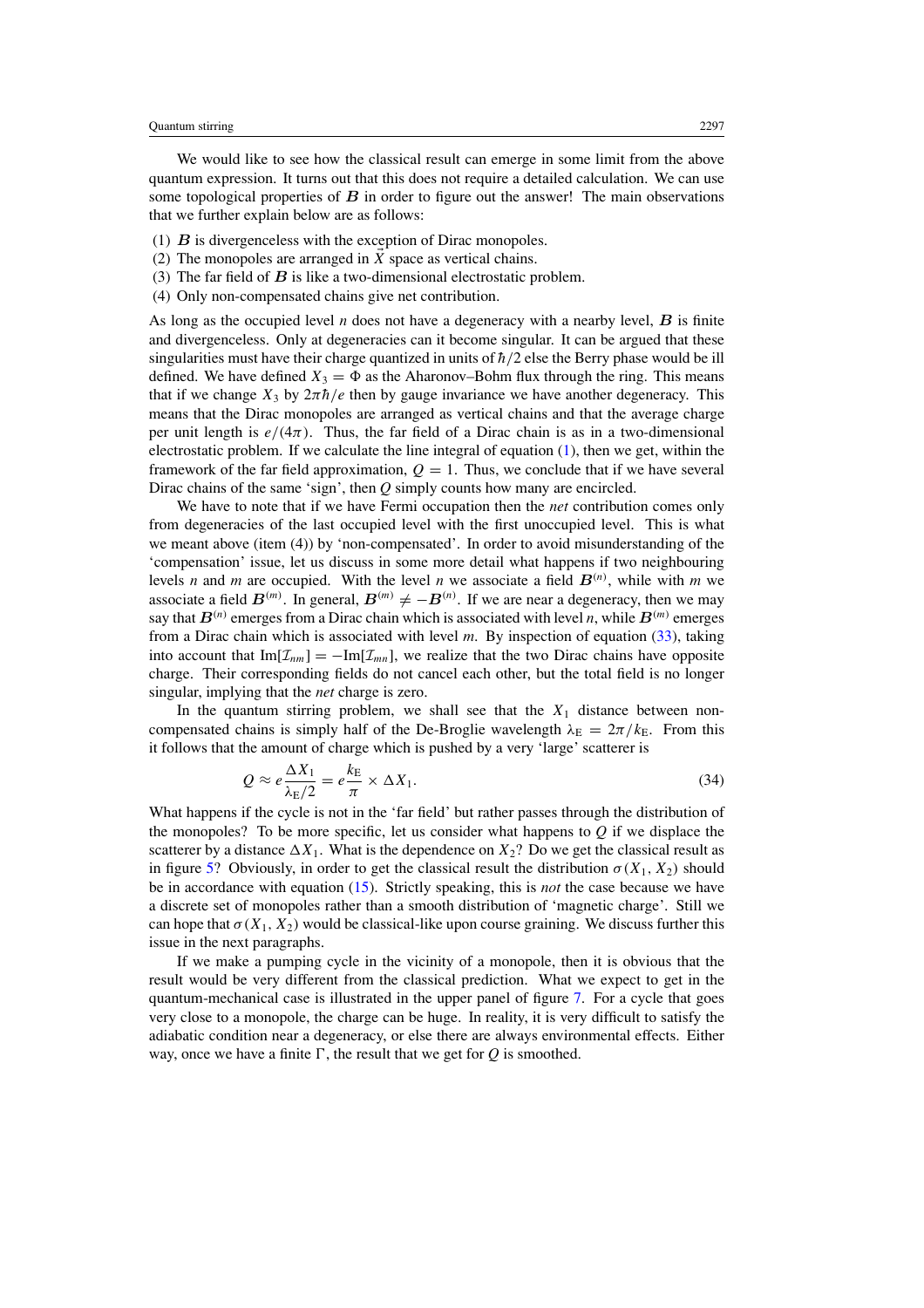<span id="page-10-0"></span>We would like to see how the classical result can emerge in some limit from the above quantum expression. It turns out that this does not require a detailed calculation. We can use some topological properties of  $\bm{B}$  in order to figure out the answer! The main observations that we further explain below are as follows:

- (1) *B* is divergenceless with the exception of Dirac monopoles.
- (2) The monopoles are arranged in *X* space as vertical chains.
- (3) The far field of *B* is like a two-dimensional electrostatic problem.
- (4) Only non-compensated chains give net contribution.

As long as the occupied level *n* does not have a degeneracy with a nearby level, *B* is finite and divergenceless. Only at degeneracies can it become singular. It can be argued that these singularities must have their charge quantized in units of  $\hbar/2$  else the Berry phase would be ill defined. We have defined  $X_3 = \Phi$  as the Aharonov–Bohm flux through the ring. This means that if we change  $X_3$  by  $2\pi\hbar/e$  then by gauge invariance we have another degeneracy. This means that the Dirac monopoles are arranged as vertical chains and that the average charge per unit length is *e/(*4*π )*. Thus, the far field of a Dirac chain is as in a two-dimensional electrostatic problem. If we calculate the line integral of equation  $(1)$ , then we get, within the framework of the far field approximation,  $Q = 1$ . Thus, we conclude that if we have several Dirac chains of the same 'sign', then *O* simply counts how many are encircled.

We have to note that if we have Fermi occupation then the *net* contribution comes only from degeneracies of the last occupied level with the first unoccupied level. This is what we meant above (item (4)) by 'non-compensated'. In order to avoid misunderstanding of the 'compensation' issue, let us discuss in some more detail what happens if two neighbouring levels *n* and *m* are occupied. With the level *n* we associate a field  $B^{(n)}$ , while with *m* we associate a field  $B^{(m)}$ . In general,  $B^{(m)} \neq -B^{(n)}$ . If we are near a degeneracy, then we may say that  $B^{(n)}$  emerges from a Dirac chain which is associated with level *n*, while  $B^{(m)}$  emerges from a Dirac chain which is associated with level *m*. By inspection of equation [\(33\)](#page-9-0), taking into account that  $Im[\mathcal{I}_{nm}] = -Im[\mathcal{I}_{mn}]$ , we realize that the two Dirac chains have opposite charge. Their corresponding fields do not cancel each other, but the total field is no longer singular, implying that the *net* charge is zero.

In the quantum stirring problem, we shall see that the  $X_1$  distance between noncompensated chains is simply half of the De-Broglie wavelength  $\lambda_E = 2\pi/k_E$ . From this it follows that the amount of charge which is pushed by a very 'large' scatterer is

$$
Q \approx e \frac{\Delta X_1}{\lambda_E/2} = e \frac{k_E}{\pi} \times \Delta X_1.
$$
 (34)

What happens if the cycle is not in the 'far field' but rather passes through the distribution of the monopoles? To be more specific, let us consider what happens to *Q* if we displace the scatterer by a distance  $\Delta X_1$ . What is the dependence on  $X_2$ ? Do we get the classical result as in figure [5?](#page-6-0) Obviously, in order to get the classical result the distribution  $\sigma(X_1, X_2)$  should be in accordance with equation [\(15\)](#page-6-0). Strictly speaking, this is *not* the case because we have a discrete set of monopoles rather than a smooth distribution of 'magnetic charge'. Still we can hope that  $\sigma(X_1, X_2)$  would be classical-like upon course graining. We discuss further this issue in the next paragraphs.

If we make a pumping cycle in the vicinity of a monopole, then it is obvious that the result would be very different from the classical prediction. What we expect to get in the quantum-mechanical case is illustrated in the upper panel of figure [7.](#page-11-0) For a cycle that goes very close to a monopole, the charge can be huge. In reality, it is very difficult to satisfy the adiabatic condition near a degeneracy, or else there are always environmental effects. Either way, once we have a finite  $\Gamma$ , the result that we get for  $\overline{Q}$  is smoothed.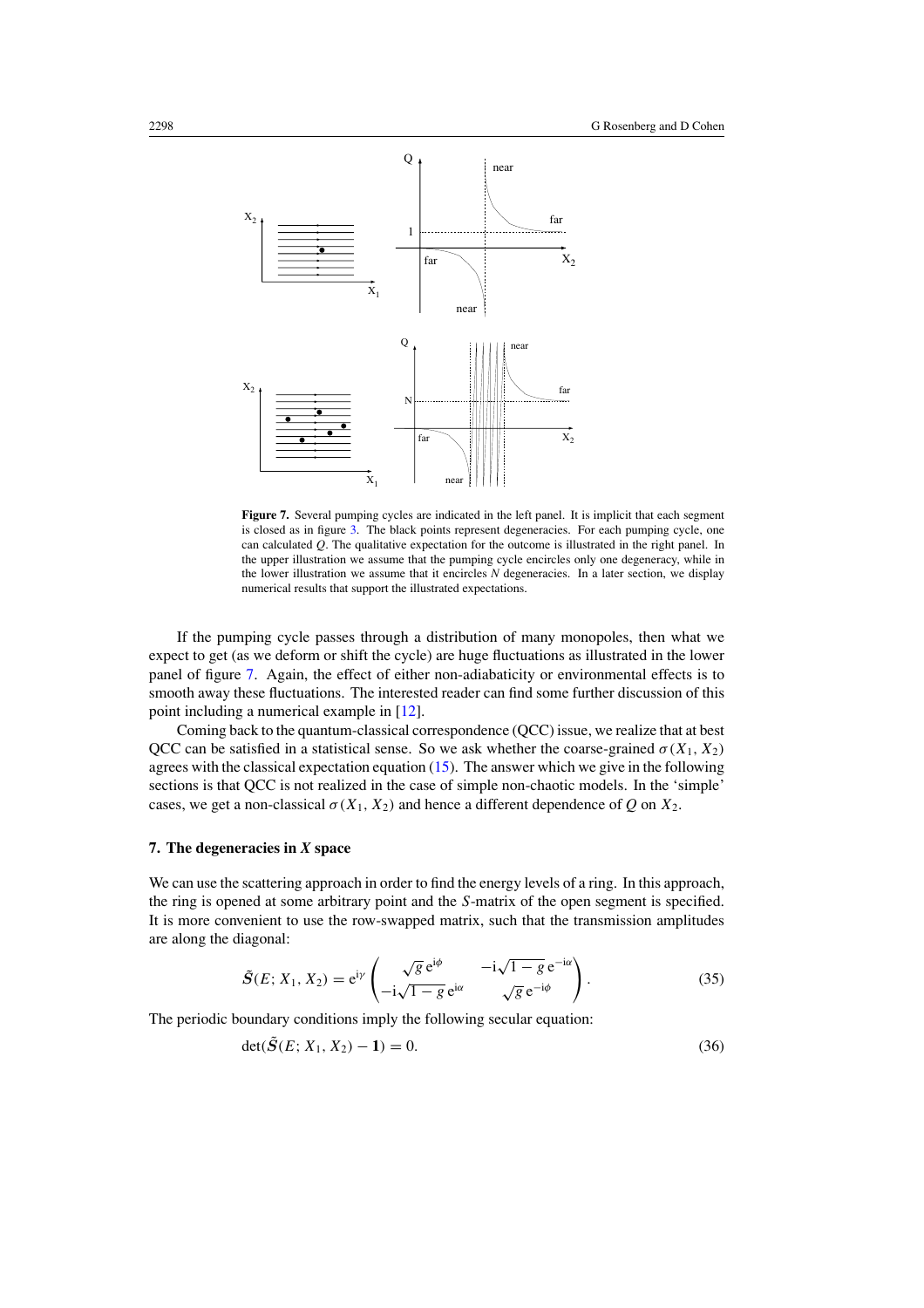<span id="page-11-0"></span>

Figure 7. Several pumping cycles are indicated in the left panel. It is implicit that each segment is closed as in figure [3.](#page-1-0) The black points represent degeneracies. For each pumping cycle, one can calculated *Q*. The qualitative expectation for the outcome is illustrated in the right panel. In the upper illustration we assume that the pumping cycle encircles only one degeneracy, while in the lower illustration we assume that it encircles *N* degeneracies. In a later section, we display numerical results that support the illustrated expectations.

If the pumping cycle passes through a distribution of many monopoles, then what we expect to get (as we deform or shift the cycle) are huge fluctuations as illustrated in the lower panel of figure 7. Again, the effect of either non-adiabaticity or environmental effects is to smooth away these fluctuations. The interested reader can find some further discussion of this point including a numerical example in [\[12\]](#page-19-0).

Coming back to the quantum-classical correspondence (QCC) issue, we realize that at best QCC can be satisfied in a statistical sense. So we ask whether the coarse-grained  $\sigma(X_1, X_2)$ agrees with the classical expectation equation  $(15)$ . The answer which we give in the following sections is that QCC is not realized in the case of simple non-chaotic models. In the 'simple' cases, we get a non-classical  $\sigma(X_1, X_2)$  and hence a different dependence of *Q* on  $X_2$ .

# **7. The degeneracies in** *X* **space**

We can use the scattering approach in order to find the energy levels of a ring. In this approach, the ring is opened at some arbitrary point and the *S*-matrix of the open segment is specified. It is more convenient to use the row-swapped matrix, such that the transmission amplitudes are along the diagonal:

$$
\tilde{S}(E; X_1, X_2) = e^{i\gamma} \begin{pmatrix} \sqrt{g} e^{i\phi} & -i\sqrt{1-g} e^{-i\alpha} \\ -i\sqrt{1-g} e^{i\alpha} & \sqrt{g} e^{-i\phi} \end{pmatrix}.
$$
 (35)

The periodic boundary conditions imply the following secular equation:

$$
\det(\tilde{S}(E; X_1, X_2) - 1) = 0. \tag{36}
$$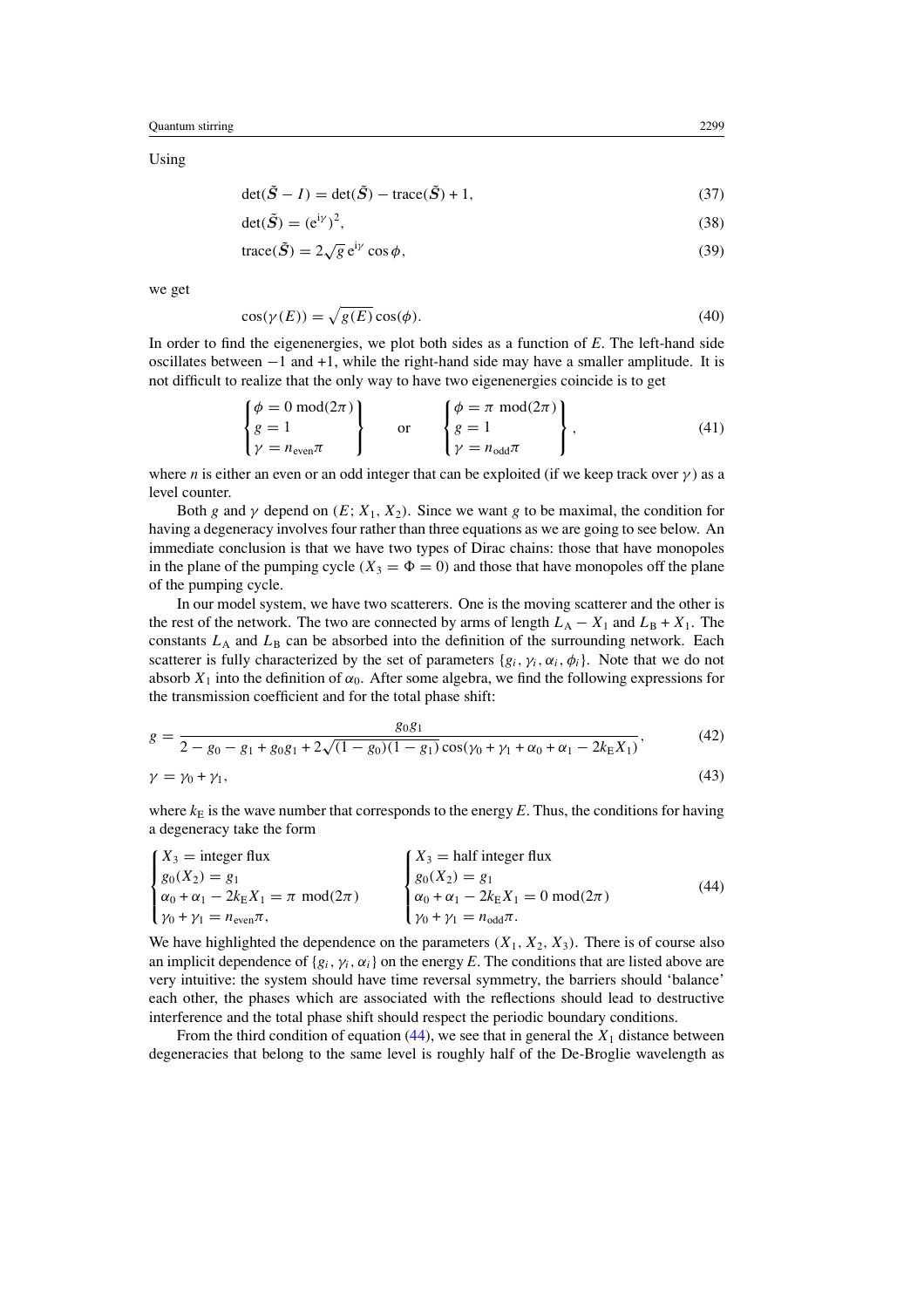<span id="page-12-0"></span>Using

$$
\det(\tilde{S} - I) = \det(\tilde{S}) - \text{trace}(\tilde{S}) + 1,\tag{37}
$$

$$
\det(\tilde{S}) = (e^{i\gamma})^2,\tag{38}
$$

$$
\text{trace}(\tilde{S}) = 2\sqrt{g} e^{i\gamma} \cos \phi, \tag{39}
$$

we get

$$
\cos(\gamma(E)) = \sqrt{g(E)} \cos(\phi). \tag{40}
$$

In order to find the eigenenergies, we plot both sides as a function of *E*. The left-hand side oscillates between −1 and +1, while the right-hand side may have a smaller amplitude. It is not difficult to realize that the only way to have two eigenenergies coincide is to get

$$
\begin{Bmatrix}\n\phi = 0 \mod(2\pi) \\
g = 1 \\
\gamma = n_{\text{even}}\pi\n\end{Bmatrix} \quad \text{or} \quad \begin{Bmatrix}\n\phi = \pi \mod(2\pi) \\
g = 1 \\
\gamma = n_{\text{odd}}\pi\n\end{Bmatrix},
$$
\n(41)

where *n* is either an even or an odd integer that can be exploited (if we keep track over  $\gamma$ ) as a level counter.

Both *g* and *γ* depend on  $(E; X_1, X_2)$ . Since we want *g* to be maximal, the condition for having a degeneracy involves four rather than three equations as we are going to see below. An immediate conclusion is that we have two types of Dirac chains: those that have monopoles in the plane of the pumping cycle  $(X_3 = \Phi = 0)$  and those that have monopoles off the plane of the pumping cycle.

In our model system, we have two scatterers. One is the moving scatterer and the other is the rest of the network. The two are connected by arms of length  $L_A - X_1$  and  $L_B + X_1$ . The constants  $L_A$  and  $L_B$  can be absorbed into the definition of the surrounding network. Each scatterer is fully characterized by the set of parameters  $\{g_i, \gamma_i, \alpha_i, \phi_i\}$ . Note that we do not absorb  $X_1$  into the definition of  $\alpha_0$ . After some algebra, we find the following expressions for the transmission coefficient and for the total phase shift:

$$
g = \frac{g_0 g_1}{2 - g_0 - g_1 + g_0 g_1 + 2\sqrt{(1 - g_0)(1 - g_1)}\cos(\gamma_0 + \gamma_1 + \alpha_0 + \alpha_1 - 2k_E X_1)},
$$
(42)

$$
\gamma = \gamma_0 + \gamma_1,\tag{43}
$$

where  $k<sub>E</sub>$  is the wave number that corresponds to the energy *E*. Thus, the conditions for having a degeneracy take the form

$$
\begin{cases}\nX_3 = \text{integer flux} \\
g_0(X_2) = g_1 \\
\alpha_0 + \alpha_1 - 2k_E X_1 = \pi \text{ mod}(2\pi) \\
\gamma_0 + \gamma_1 = n_{\text{even}}\pi,\n\end{cases}\n\qquad\n\begin{cases}\nX_3 = \text{half integer flux} \\
g_0(X_2) = g_1 \\
\alpha_0 + \alpha_1 - 2k_E X_1 = 0 \text{ mod}(2\pi) \\
\gamma_0 + \gamma_1 = n_{\text{odd}}\pi.\n\end{cases}
$$
\n(44)

We have highlighted the dependence on the parameters  $(X_1, X_2, X_3)$ . There is of course also an implicit dependence of  ${g_i, \gamma_i, \alpha_i}$  on the energy *E*. The conditions that are listed above are very intuitive: the system should have time reversal symmetry, the barriers should 'balance' each other, the phases which are associated with the reflections should lead to destructive interference and the total phase shift should respect the periodic boundary conditions.

From the third condition of equation  $(44)$ , we see that in general the  $X_1$  distance between degeneracies that belong to the same level is roughly half of the De-Broglie wavelength as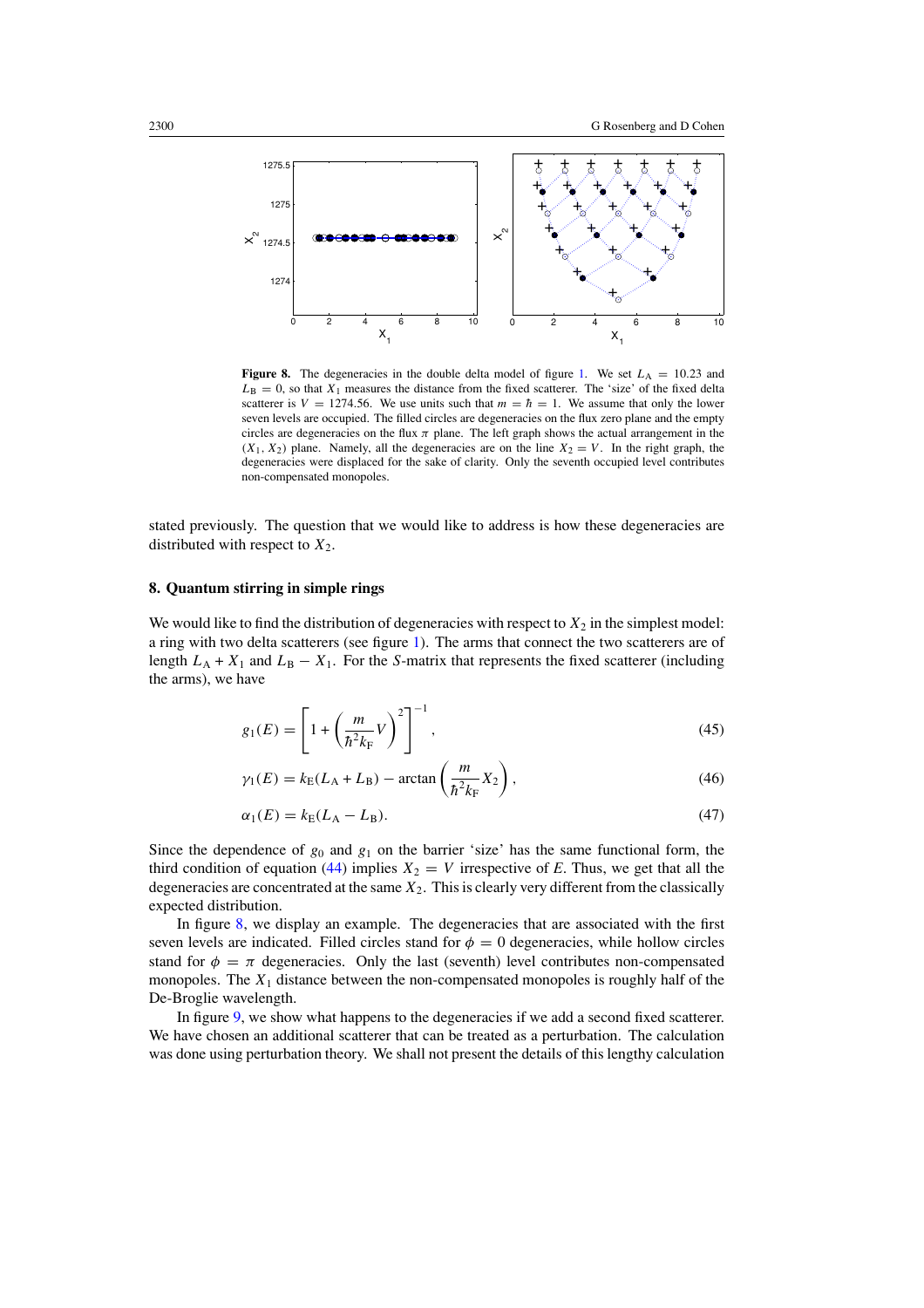<span id="page-13-0"></span>

**Figure 8.** The degeneracies in the double delta model of figure [1.](#page-1-0) We set  $L_A = 10.23$  and  $L_{\text{B}} = 0$ , so that  $X_1$  measures the distance from the fixed scatterer. The 'size' of the fixed delta scatterer is  $V = 1274.56$ . We use units such that  $m = \hbar = 1$ . We assume that only the lower seven levels are occupied. The filled circles are degeneracies on the flux zero plane and the empty circles are degeneracies on the flux  $\pi$  plane. The left graph shows the actual arrangement in the  $(X_1, X_2)$  plane. Namely, all the degeneracies are on the line  $X_2 = V$ . In the right graph, the degeneracies were displaced for the sake of clarity. Only the seventh occupied level contributes non-compensated monopoles.

stated previously. The question that we would like to address is how these degeneracies are distributed with respect to  $X_2$ .

# **8. Quantum stirring in simple rings**

We would like to find the distribution of degeneracies with respect to  $X_2$  in the simplest model: a ring with two delta scatterers (see figure [1\)](#page-1-0). The arms that connect the two scatterers are of length  $L_A + X_1$  and  $L_B - X_1$ . For the *S*-matrix that represents the fixed scatterer (including the arms), we have

$$
g_1(E) = \left[1 + \left(\frac{m}{\hbar^2 k_{\rm F}}V\right)^2\right]^{-1},\tag{45}
$$

$$
\gamma_1(E) = k_E(L_A + L_B) - \arctan\left(\frac{m}{\hbar^2 k_F} X_2\right),\tag{46}
$$

$$
\alpha_1(E) = k_E (L_A - L_B). \tag{47}
$$

Since the dependence of  $g_0$  and  $g_1$  on the barrier 'size' has the same functional form, the third condition of equation [\(44\)](#page-12-0) implies  $X_2 = V$  irrespective of *E*. Thus, we get that all the degeneracies are concentrated at the same  $X_2$ . This is clearly very different from the classically expected distribution.

In figure 8, we display an example. The degeneracies that are associated with the first seven levels are indicated. Filled circles stand for  $\phi = 0$  degeneracies, while hollow circles stand for  $\phi = \pi$  degeneracies. Only the last (seventh) level contributes non-compensated monopoles. The  $X_1$  distance between the non-compensated monopoles is roughly half of the De-Broglie wavelength.

In figure [9,](#page-14-0) we show what happens to the degeneracies if we add a second fixed scatterer. We have chosen an additional scatterer that can be treated as a perturbation. The calculation was done using perturbation theory. We shall not present the details of this lengthy calculation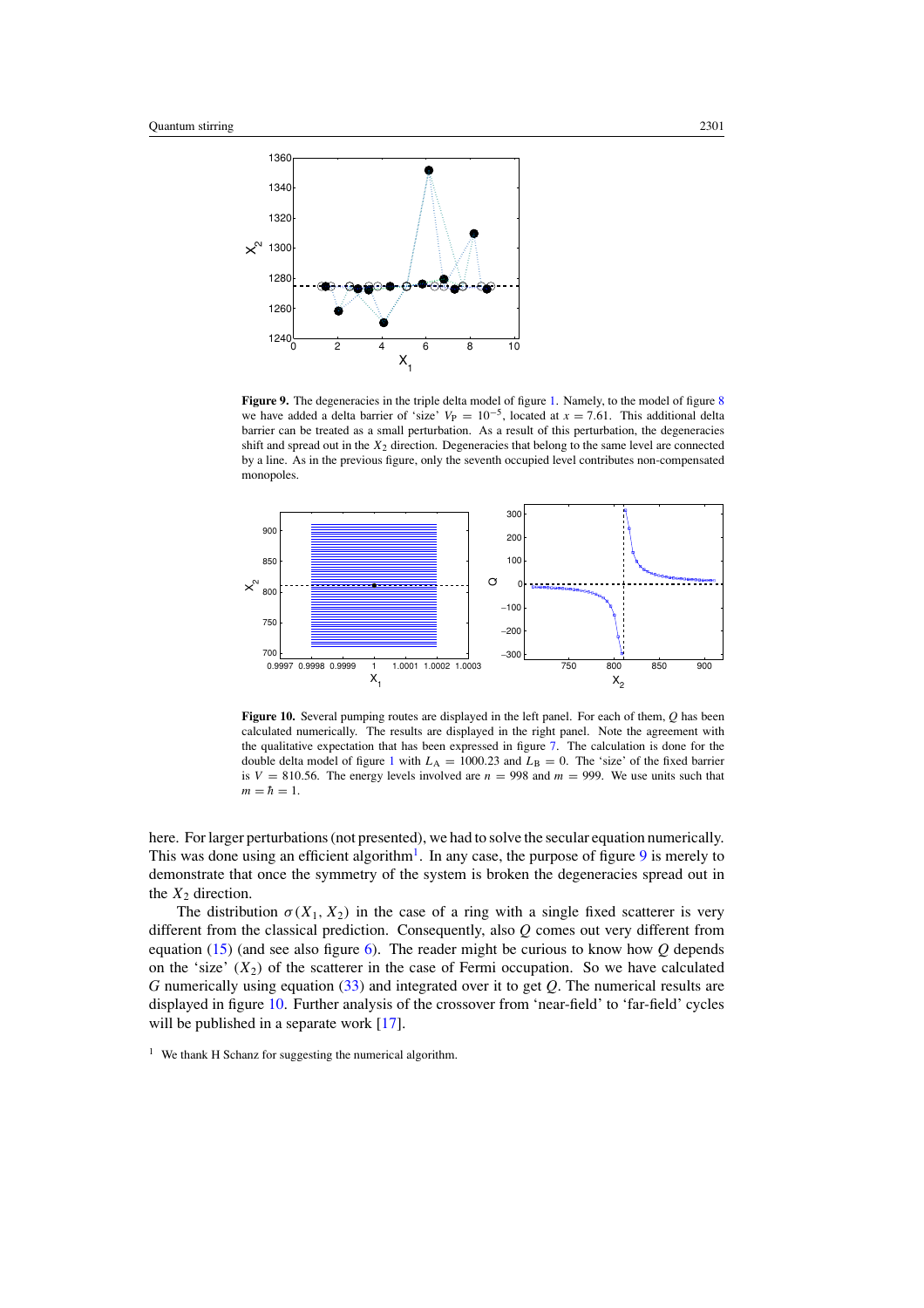<span id="page-14-0"></span>

Figure 9. The degeneracies in the triple delta model of figure [1.](#page-1-0) Namely, to the model of figure [8](#page-13-0) we have added a delta barrier of 'size'  $V_P = 10^{-5}$ , located at  $x = 7.61$ . This additional delta barrier can be treated as a small perturbation. As a result of this perturbation, the degeneracies shift and spread out in the *X*<sup>2</sup> direction. Degeneracies that belong to the same level are connected by a line. As in the previous figure, only the seventh occupied level contributes non-compensated monopoles.



**Figure 10.** Several pumping routes are displayed in the left panel. For each of them, *Q* has been calculated numerically. The results are displayed in the right panel. Note the agreement with the qualitative expectation that has been expressed in figure [7.](#page-11-0) The calculation is done for the double delta model of figure [1](#page-1-0) with  $L_A = 1000.23$  and  $L_B = 0$ . The 'size' of the fixed barrier is  $V = 810.56$ . The energy levels involved are  $n = 998$  and  $m = 999$ . We use units such that  $m = \hbar = 1$ .

here. For larger perturbations (not presented), we had to solve the secular equation numerically. This was done using an efficient algorithm<sup>1</sup>. In any case, the purpose of figure  $9$  is merely to demonstrate that once the symmetry of the system is broken the degeneracies spread out in the  $X_2$  direction.

The distribution  $\sigma(X_1, X_2)$  in the case of a ring with a single fixed scatterer is very different from the classical prediction. Consequently, also *Q* comes out very different from equation [\(15\)](#page-6-0) (and see also figure [6\)](#page-7-0). The reader might be curious to know how  $Q$  depends on the 'size'  $(X_2)$  of the scatterer in the case of Fermi occupation. So we have calculated *G* numerically using equation [\(33\)](#page-9-0) and integrated over it to get *Q*. The numerical results are displayed in figure 10. Further analysis of the crossover from 'near-field' to 'far-field' cycles will be published in a separate work [\[17](#page-19-0)].

<sup>&</sup>lt;sup>1</sup> We thank H Schanz for suggesting the numerical algorithm.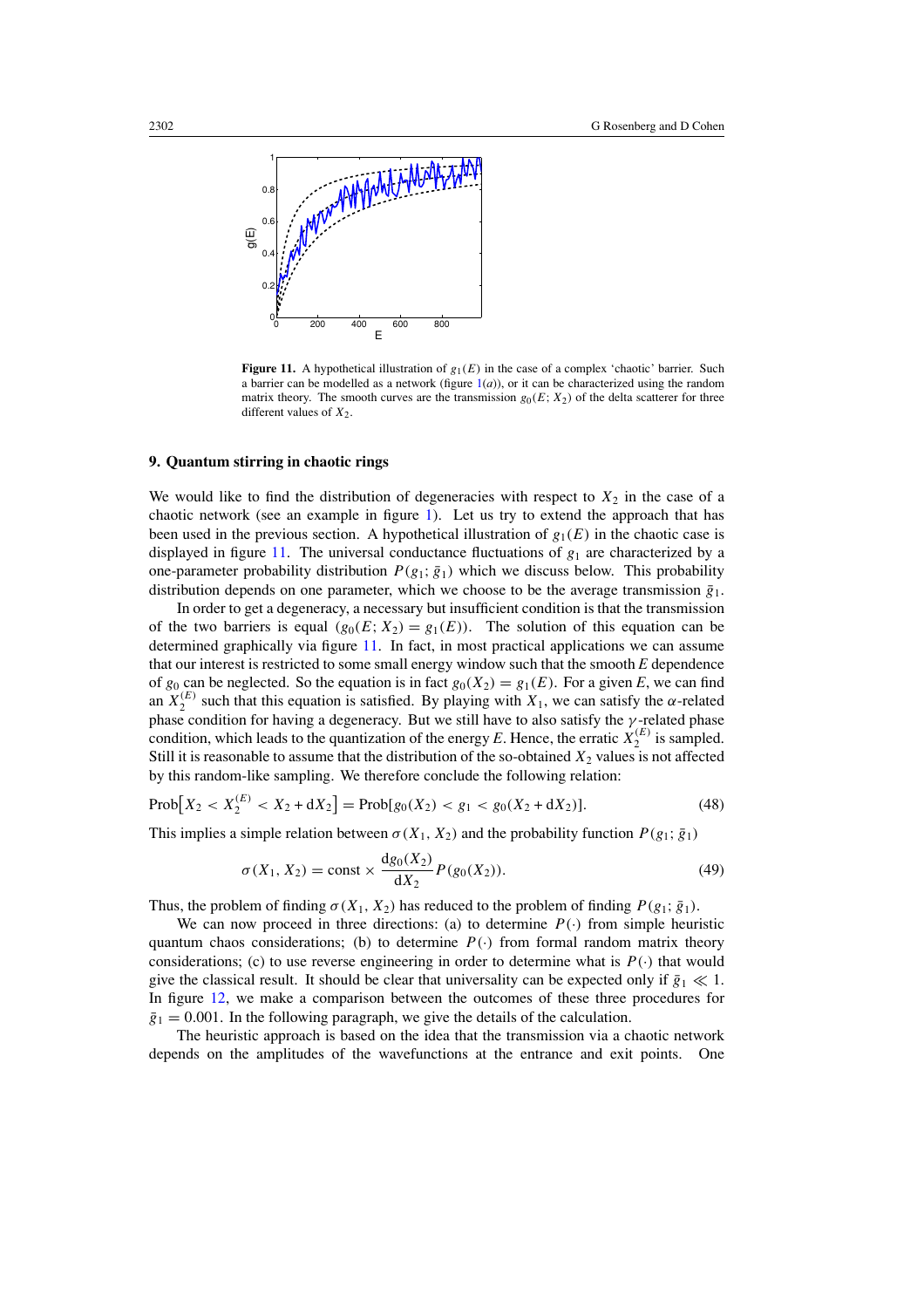<span id="page-15-0"></span>

**Figure 11.** A hypothetical illustration of  $g_1(E)$  in the case of a complex 'chaotic' barrier. Such a barrier can be modelled as a network (figure  $1(a)$  $1(a)$ ), or it can be characterized using the random matrix theory. The smooth curves are the transmission  $g_0(E; X_2)$  of the delta scatterer for three different values of  $X_2$ .

#### **9. Quantum stirring in chaotic rings**

We would like to find the distribution of degeneracies with respect to  $X_2$  in the case of a chaotic network (see an example in figure [1\)](#page-1-0). Let us try to extend the approach that has been used in the previous section. A hypothetical illustration of  $g_1(E)$  in the chaotic case is displayed in figure 11. The universal conductance fluctuations of  $g_1$  are characterized by a one-parameter probability distribution  $P(g_1; \bar{g}_1)$  which we discuss below. This probability distribution depends on one parameter, which we choose to be the average transmission  $\bar{g}_1$ .

In order to get a degeneracy, a necessary but insufficient condition is that the transmission of the two barriers is equal  $(g_0(E; X_2) = g_1(E))$ . The solution of this equation can be determined graphically via figure 11. In fact, in most practical applications we can assume that our interest is restricted to some small energy window such that the smooth *E* dependence of  $g_0$  can be neglected. So the equation is in fact  $g_0(X_2) = g_1(E)$ . For a given E, we can find an  $X_2^{(E)}$  such that this equation is satisfied. By playing with  $X_1$ , we can satisfy the *α*-related phase condition for having a degeneracy. But we still have to also satisfy the *γ* -related phase condition, which leads to the quantization of the energy *E*. Hence, the erratic  $X_2^{(E)}$  is sampled. Still it is reasonable to assume that the distribution of the so-obtained  $X_2$  values is not affected by this random-like sampling. We therefore conclude the following relation:

$$
Prob[X_2 < X_2^{(E)} < X_2 + dX_2] = Prob[g_0(X_2) < g_1 < g_0(X_2 + dX_2)].\tag{48}
$$

This implies a simple relation between  $\sigma(X_1, X_2)$  and the probability function  $P(g_1; \bar{g}_1)$ 

$$
\sigma(X_1, X_2) = \text{const} \times \frac{\text{d}g_0(X_2)}{\text{d}X_2} P(g_0(X_2)).
$$
\n(49)

Thus, the problem of finding  $\sigma(X_1, X_2)$  has reduced to the problem of finding  $P(g_1; \bar{g}_1)$ .

We can now proceed in three directions: (a) to determine  $P(\cdot)$  from simple heuristic quantum chaos considerations; (b) to determine  $P(\cdot)$  from formal random matrix theory considerations; (c) to use reverse engineering in order to determine what is  $P(\cdot)$  that would give the classical result. It should be clear that universality can be expected only if  $\bar{g}_1 \ll 1$ . In figure [12,](#page-16-0) we make a comparison between the outcomes of these three procedures for  $\bar{g}_1 = 0.001$ . In the following paragraph, we give the details of the calculation.

The heuristic approach is based on the idea that the transmission via a chaotic network depends on the amplitudes of the wavefunctions at the entrance and exit points. One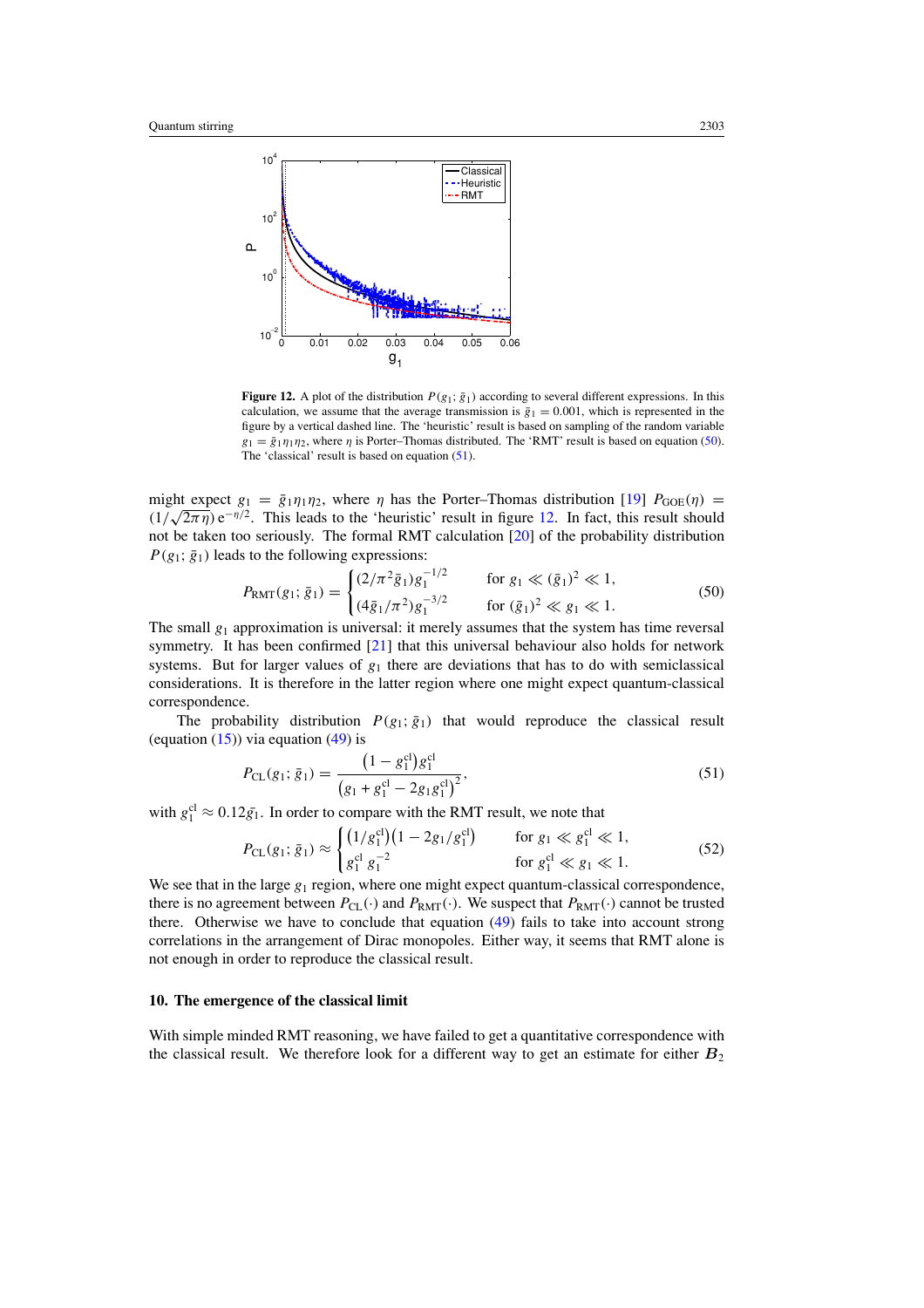<span id="page-16-0"></span>

**Figure 12.** A plot of the distribution  $P(g_1; \bar{g}_1)$  according to several different expressions. In this calculation, we assume that the average transmission is  $\bar{g}_1 = 0.001$ , which is represented in the figure by a vertical dashed line. The 'heuristic' result is based on sampling of the random variable  $g_1 = \bar{g}_1 \eta_1 \eta_2$ , where  $\eta$  is Porter–Thomas distributed. The 'RMT' result is based on equation (50). The 'classical' result is based on equation (51).

might expect  $g_1 = \bar{g}_1 \eta_1 \eta_2$ , where  $\eta$  has the Porter–Thomas distribution [\[19\]](#page-19-0)  $P_{GOE}(\eta)$  = *(*1/ $\sqrt{2\pi\eta}$ ) e<sup>-*η/*2</sup>. This leads to the 'heuristic' result in figure 12. In fact, this result should not be taken too seriously. The formal RMT calculation [\[20\]](#page-19-0) of the probability distribution  $P(g_1; \bar{g}_1)$  leads to the following expressions:

$$
P_{\text{RMT}}(g_1; \bar{g}_1) = \begin{cases} (2/\pi^2 \bar{g}_1) g_1^{-1/2} & \text{for } g_1 \ll (\bar{g}_1)^2 \ll 1, \\ (4\bar{g}_1/\pi^2) g_1^{-3/2} & \text{for } (\bar{g}_1)^2 \ll g_1 \ll 1. \end{cases}
$$
(50)

The small  $g_1$  approximation is universal: it merely assumes that the system has time reversal symmetry. It has been confirmed [\[21](#page-19-0)] that this universal behaviour also holds for network systems. But for larger values of  $g_1$  there are deviations that has to do with semiclassical considerations. It is therefore in the latter region where one might expect quantum-classical correspondence.

The probability distribution  $P(g_1; \bar{g}_1)$  that would reproduce the classical result (equation  $(15)$ ) via equation  $(49)$  is

$$
P_{\text{CL}}(g_1; \bar{g}_1) = \frac{\left(1 - g_1^{\text{cl}}\right)g_1^{\text{cl}}}{\left(g_1 + g_1^{\text{cl}} - 2g_1g_1^{\text{cl}}\right)^2},\tag{51}
$$

with  $g_1^{\text{cl}} \approx 0.12 \bar{g}_1$ . In order to compare with the RMT result, we note that

$$
P_{\text{CL}}(g_1; \bar{g}_1) \approx \begin{cases} (1/g_1^{\text{cl}})(1 - 2g_1/g_1^{\text{cl}}) & \text{for } g_1 \ll g_1^{\text{cl}} \ll 1, \\ g_1^{\text{cl}} g_1^{-2} & \text{for } g_1^{\text{cl}} \ll g_1 \ll 1. \end{cases}
$$
(52)

We see that in the large  $g_1$  region, where one might expect quantum-classical correspondence, there is no agreement between  $P_{CL}(\cdot)$  and  $P_{RMT}(\cdot)$ . We suspect that  $P_{RMT}(\cdot)$  cannot be trusted there. Otherwise we have to conclude that equation [\(49\)](#page-15-0) fails to take into account strong correlations in the arrangement of Dirac monopoles. Either way, it seems that RMT alone is not enough in order to reproduce the classical result.

## **10. The emergence of the classical limit**

With simple minded RMT reasoning, we have failed to get a quantitative correspondence with the classical result. We therefore look for a different way to get an estimate for either  $B_2$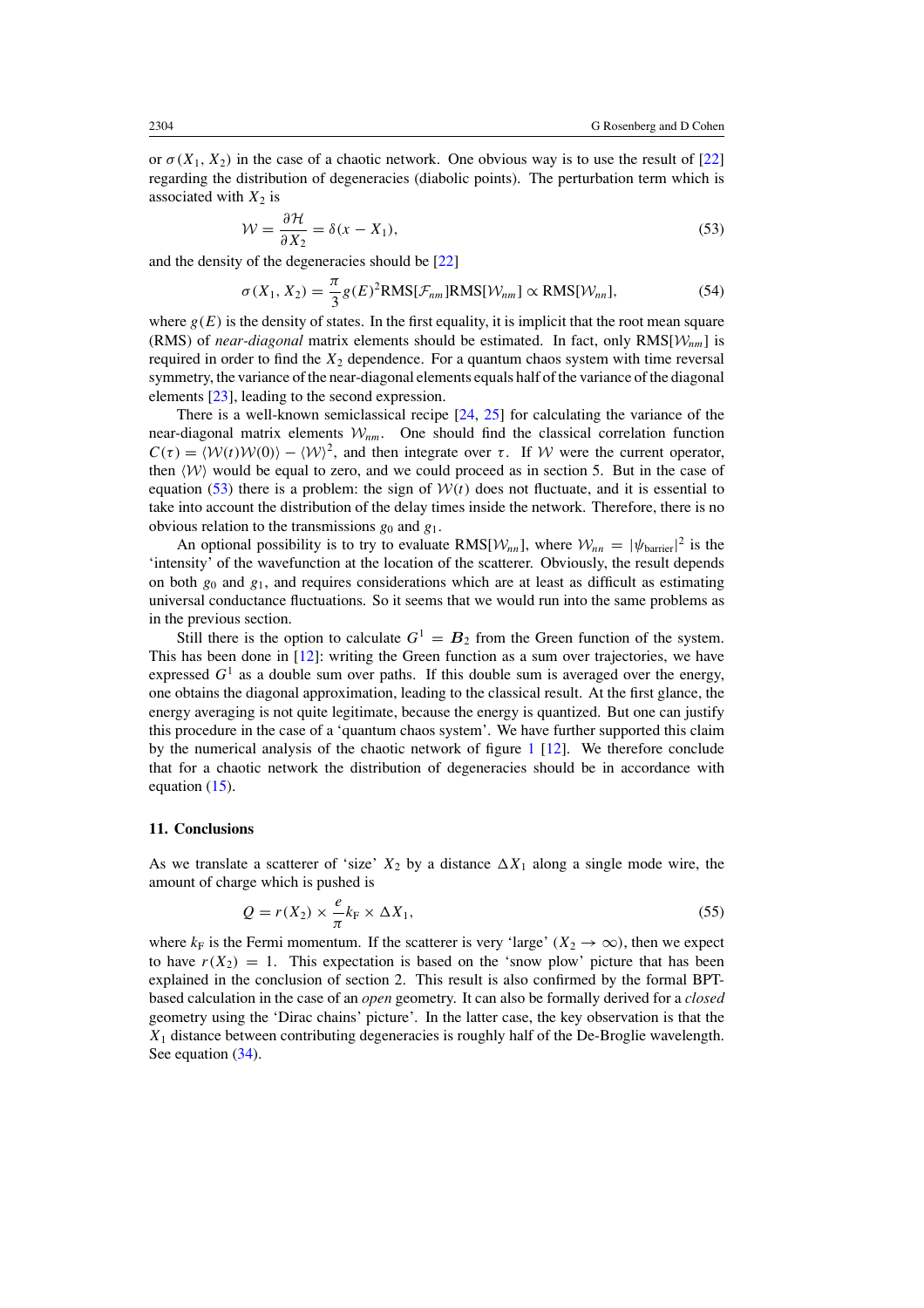or  $\sigma(X_1, X_2)$  in the case of a chaotic network. One obvious way is to use the result of [\[22](#page-19-0)] regarding the distribution of degeneracies (diabolic points). The perturbation term which is associated with  $X_2$  is

$$
\mathcal{W} = \frac{\partial \mathcal{H}}{\partial X_2} = \delta(x - X_1),\tag{53}
$$

and the density of the degeneracies should be [\[22](#page-19-0)]

$$
\sigma(X_1, X_2) = \frac{\pi}{3} g(E)^2 \text{RMS}[\mathcal{F}_{nm}] \text{RMS}[W_{nm}] \propto \text{RMS}[W_{nn}], \tag{54}
$$

where  $g(E)$  is the density of states. In the first equality, it is implicit that the root mean square (RMS) of *near-diagonal* matrix elements should be estimated. In fact, only  $RMS[V_{nm}]$  is required in order to find the  $X_2$  dependence. For a quantum chaos system with time reversal symmetry, the variance of the near-diagonal elements equals half of the variance of the diagonal elements [\[23](#page-19-0)], leading to the second expression.

There is a well-known semiclassical recipe [\[24,](#page-19-0) [25\]](#page-19-0) for calculating the variance of the near-diagonal matrix elements  $W_{nm}$ . One should find the classical correlation function  $C(\tau) = \langle W(t)W(0) \rangle - \langle W \rangle^2$ , and then integrate over  $\tau$ . If W were the current operator, then  $\langle W \rangle$  would be equal to zero, and we could proceed as in section 5. But in the case of equation (53) there is a problem: the sign of  $W(t)$  does not fluctuate, and it is essential to take into account the distribution of the delay times inside the network. Therefore, there is no obvious relation to the transmissions *g*<sup>0</sup> and *g*1.

An optional possibility is to try to evaluate  $\text{RMS}[W_{nn}]$ , where  $W_{nn} = |\psi_{\text{barrier}}|^2$  is the 'intensity' of the wavefunction at the location of the scatterer. Obviously, the result depends on both  $g_0$  and  $g_1$ , and requires considerations which are at least as difficult as estimating universal conductance fluctuations. So it seems that we would run into the same problems as in the previous section.

Still there is the option to calculate  $G^1 = B_2$  from the Green function of the system. This has been done in [\[12](#page-19-0)]: writing the Green function as a sum over trajectories, we have expressed  $G<sup>1</sup>$  as a double sum over paths. If this double sum is averaged over the energy, one obtains the diagonal approximation, leading to the classical result. At the first glance, the energy averaging is not quite legitimate, because the energy is quantized. But one can justify this procedure in the case of a 'quantum chaos system'. We have further supported this claim by the numerical analysis of the chaotic network of figure [1](#page-1-0) [\[12\]](#page-19-0). We therefore conclude that for a chaotic network the distribution of degeneracies should be in accordance with equation [\(15\)](#page-6-0).

## **11. Conclusions**

As we translate a scatterer of 'size'  $X_2$  by a distance  $\Delta X_1$  along a single mode wire, the amount of charge which is pushed is

$$
Q = r(X_2) \times \frac{e}{\pi} k_{\rm F} \times \Delta X_1,\tag{55}
$$

where  $k_F$  is the Fermi momentum. If the scatterer is very 'large'  $(X_2 \to \infty)$ , then we expect to have  $r(X_2) = 1$ . This expectation is based on the 'snow plow' picture that has been explained in the conclusion of section 2. This result is also confirmed by the formal BPTbased calculation in the case of an *open* geometry. It can also be formally derived for a *closed* geometry using the 'Dirac chains' picture'. In the latter case, the key observation is that the *X*<sup>1</sup> distance between contributing degeneracies is roughly half of the De-Broglie wavelength. See equation  $(34)$ .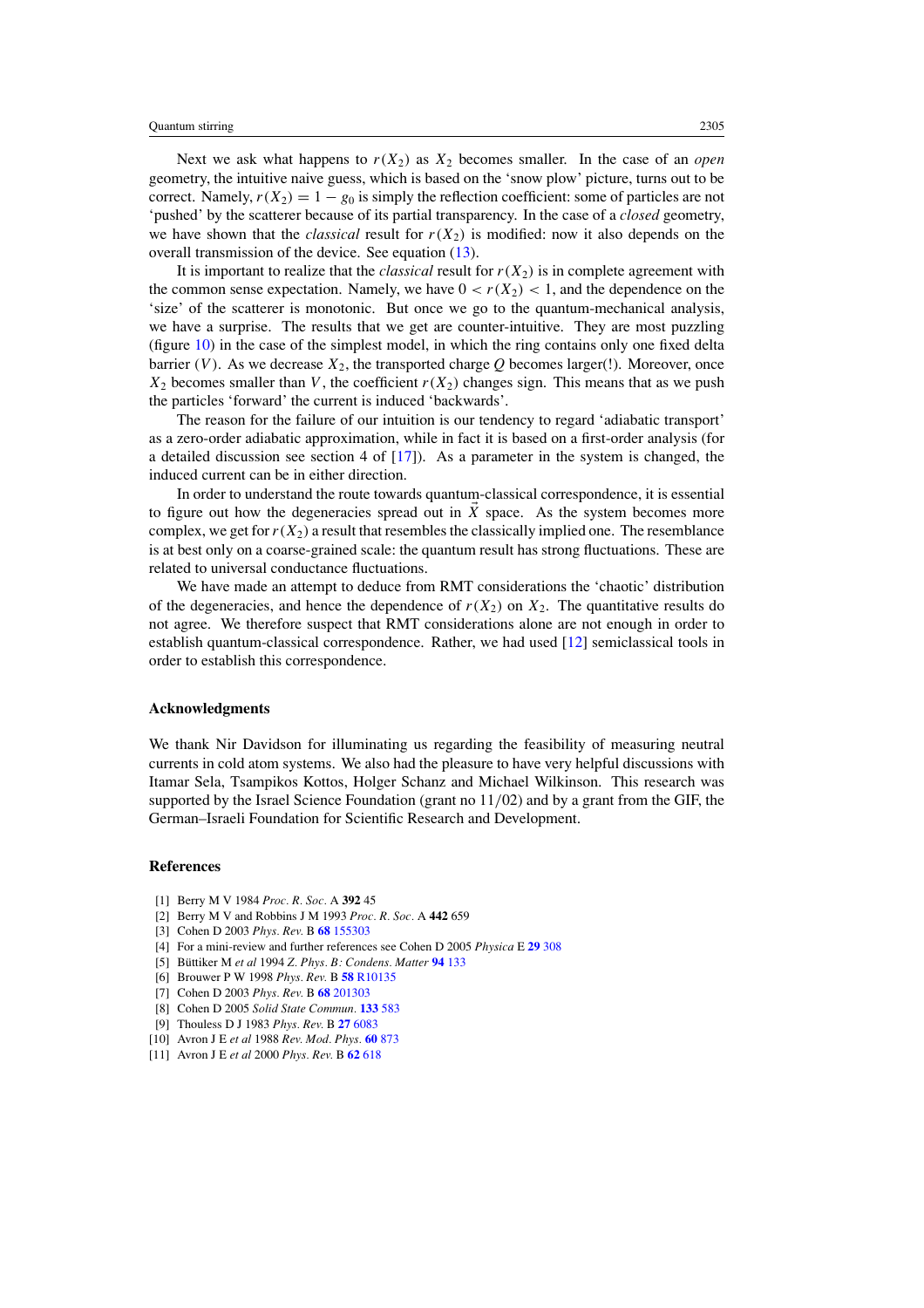<span id="page-18-0"></span>Next we ask what happens to  $r(X_2)$  as  $X_2$  becomes smaller. In the case of an *open* geometry, the intuitive naive guess, which is based on the 'snow plow' picture, turns out to be correct. Namely,  $r(X_2) = 1 - g_0$  is simply the reflection coefficient: some of particles are not 'pushed' by the scatterer because of its partial transparency. In the case of a *closed* geometry, we have shown that the *classical* result for  $r(X_2)$  is modified: now it also depends on the overall transmission of the device. See equation [\(13\)](#page-6-0).

It is important to realize that the *classical* result for  $r(X_2)$  is in complete agreement with the common sense expectation. Namely, we have  $0 < r(X_2) < 1$ , and the dependence on the 'size' of the scatterer is monotonic. But once we go to the quantum-mechanical analysis, we have a surprise. The results that we get are counter-intuitive. They are most puzzling (figure [10\)](#page-14-0) in the case of the simplest model, in which the ring contains only one fixed delta barrier *(V)*. As we decrease  $X_2$ , the transported charge  $Q$  becomes larger(!). Moreover, once  $X_2$  becomes smaller than *V*, the coefficient  $r(X_2)$  changes sign. This means that as we push the particles 'forward' the current is induced 'backwards'.

The reason for the failure of our intuition is our tendency to regard 'adiabatic transport' as a zero-order adiabatic approximation, while in fact it is based on a first-order analysis (for a detailed discussion see section 4 of [\[17](#page-19-0)]). As a parameter in the system is changed, the induced current can be in either direction.

In order to understand the route towards quantum-classical correspondence, it is essential to figure out how the degeneracies spread out in  $\overline{X}$  space. As the system becomes more complex, we get for  $r(X_2)$  a result that resembles the classically implied one. The resemblance is at best only on a coarse-grained scale: the quantum result has strong fluctuations. These are related to universal conductance fluctuations.

We have made an attempt to deduce from RMT considerations the 'chaotic' distribution of the degeneracies, and hence the dependence of  $r(X_2)$  on  $X_2$ . The quantitative results do not agree. We therefore suspect that RMT considerations alone are not enough in order to establish quantum-classical correspondence. Rather, we had used [\[12](#page-19-0)] semiclassical tools in order to establish this correspondence.

#### **Acknowledgments**

We thank Nir Davidson for illuminating us regarding the feasibility of measuring neutral currents in cold atom systems. We also had the pleasure to have very helpful discussions with Itamar Sela, Tsampikos Kottos, Holger Schanz and Michael Wilkinson. This research was supported by the Israel Science Foundation (grant no 11*/*02) and by a grant from the GIF, the German–Israeli Foundation for Scientific Research and Development.

# **References**

- [1] Berry M V 1984 *Proc. R. Soc.* A **392** 45
- [2] Berry M V and Robbins J M 1993 *Proc. R. Soc.* A **442** 659
- [3] Cohen D 2003 *Phys. Rev.* B **68** [155303](http://dx.doi.org/10.1103/PhysRevB.68.155303)
- [4] For a mini-review and further references see Cohen D 2005 *Physica* E **29** [308](http://dx.doi.org/10.1016/j.physe.2005.05.028)
- [5] Büttiker M et al 1994 *Z. Phys. B: Condens. Matter* 94 [133](http://dx.doi.org/10.1007/BF01307664)
- [6] Brouwer P W 1998 *Phys. Rev.* B **58** [R10135](http://dx.doi.org/10.1103/PhysRevB.58.R10135)
- [7] Cohen D 2003 *Phys. Rev.* B **68** [201303](http://dx.doi.org/10.1103/PhysRevB.68.201303)
- [8] Cohen D 2005 *Solid State Commun.* **[133](http://dx.doi.org/10.1016/j.ssc.2004.12.027)** 583
- [9] Thouless D J 1983 *Phys. Rev.* B **27** [6083](http://dx.doi.org/10.1103/PhysRevB.27.6083)
- [10] Avron J E *et al* 1988 *Rev. Mod. Phys.* **60** [873](http://dx.doi.org/10.1103/RevModPhys.60.873)
- [11] Avron J E *et al* 2000 *Phys. Rev.* B **62** [618](http://dx.doi.org/10.1103/PhysRevB.62.R10618)